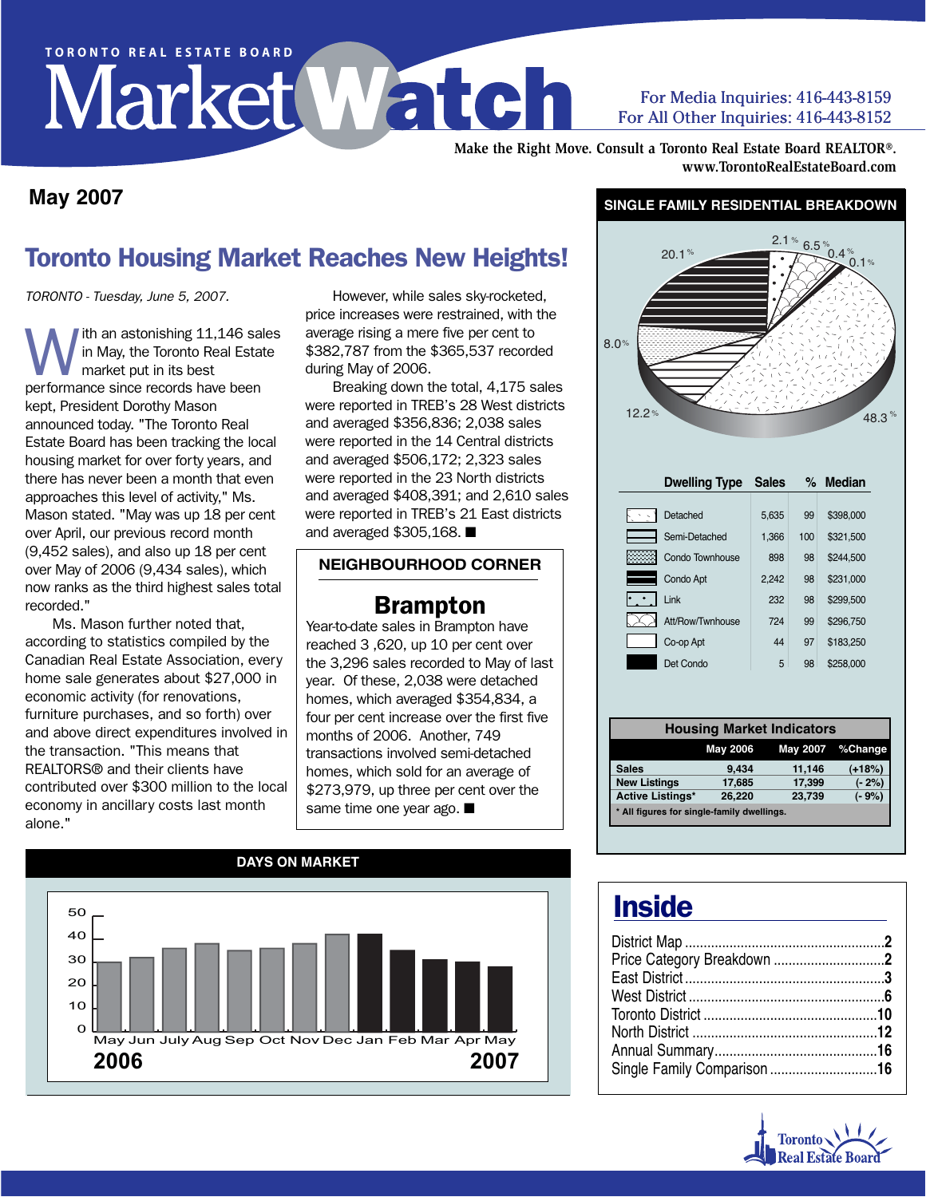# TORONTO REAL ESTATE BOARD

#### For Media Inquiries: 416-443-8159 For All Other Inquiries: 416-443-8152

**Make the Right Move. Consult a Toronto Real Estate Board REALTOR®. www.TorontoRealEstateBoard.com**

#### **May 2007**

#### **SINGLE FAMILY RESIDENTIAL BREAKDOWN**

#### Toronto Housing Market Reaches New Heights!

TORONTO - Tuesday, June 5, 2007.

With an astonishing 11,146 sales<br>in May, the Toronto Real Estate<br>performance since records have been in May, the Toronto Real Estate market put in its best performance since records have been kept, President Dorothy Mason announced today. "The Toronto Real Estate Board has been tracking the local housing market for over forty years, and there has never been a month that even approaches this level of activity," Ms. Mason stated. "May was up 18 per cent over April, our previous record month (9,452 sales), and also up 18 per cent over May of 2006 (9,434 sales), which now ranks as the third highest sales total recorded."

Ms. Mason further noted that, according to statistics compiled by the Canadian Real Estate Association, every home sale generates about \$27,000 in economic activity (for renovations, furniture purchases, and so forth) over and above direct expenditures involved in the transaction. "This means that REALTORS® and their clients have contributed over \$300 million to the local economy in ancillary costs last month alone."

However, while sales sky-rocketed, price increases were restrained, with the average rising a mere five per cent to \$382,787 from the \$365,537 recorded during May of 2006.

Breaking down the total, 4,175 sales were reported in TREB's 28 West districts and averaged \$356,836; 2,038 sales were reported in the 14 Central districts and averaged \$506,172; 2,323 sales were reported in the 23 North districts and averaged \$408,391; and 2,610 sales were reported in TREB's 21 East districts and averaged \$305,168. ■

#### **NEIGHBOURHOOD CORNER**

#### Brampton

Year-to-date sales in Brampton have reached 3 ,620, up 10 per cent over the 3,296 sales recorded to May of last year. Of these, 2,038 were detached homes, which averaged \$354,834, a four per cent increase over the first five months of 2006 Another, 749 transactions involved semi-detached homes, which sold for an average of \$273,979, up three per cent over the same time one year ago. ■





|                                            |                 | <b>Housing Market Indicators</b> |                  |
|--------------------------------------------|-----------------|----------------------------------|------------------|
|                                            | <b>May 2006</b> |                                  | May 2007 %Change |
| <b>Sales</b>                               | 9,434           | 11,146                           | $(+18%)$         |
| <b>New Listings</b>                        | 17,685          | 17,399                           | $(-2%)$          |
| <b>Active Listings*</b>                    | 26,220          | 23,739                           | $(-9%)$          |
| * All figures for single-family dwellings. |                 |                                  |                  |

## **Inside**

| Single Family Comparison 16 |
|-----------------------------|
|                             |

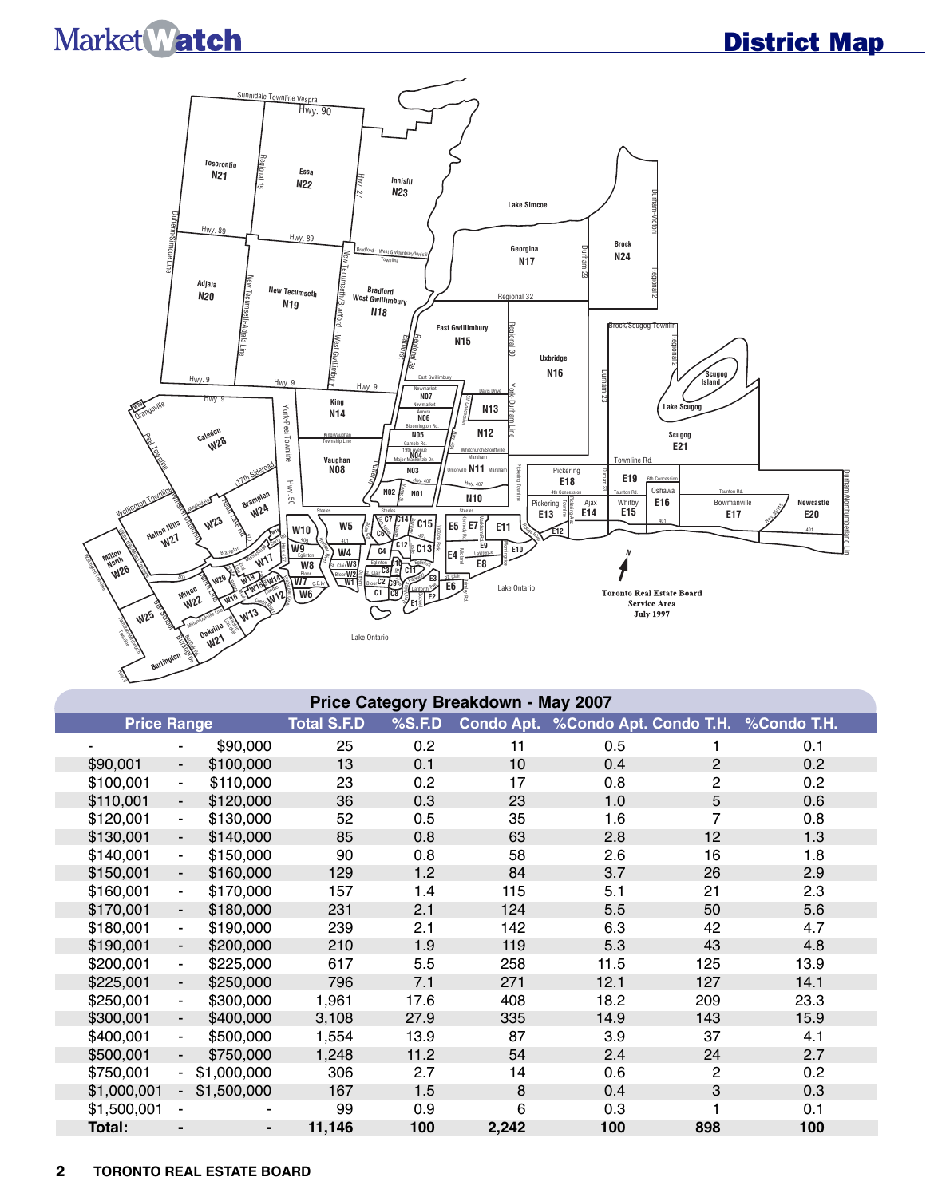# Market Watch

## District Map



| Price Category Breakdown - May 2007 |                          |                              |                    |        |       |                                               |                |      |  |  |  |  |
|-------------------------------------|--------------------------|------------------------------|--------------------|--------|-------|-----------------------------------------------|----------------|------|--|--|--|--|
| <b>Price Range</b>                  |                          |                              | <b>Total S.F.D</b> | %S.F.D |       | Condo Apt. %Condo Apt. Condo T.H. %Condo T.H. |                |      |  |  |  |  |
|                                     | ۰                        | \$90,000                     | 25                 | 0.2    | 11    | 0.5                                           | 1              | 0.1  |  |  |  |  |
| \$90,001                            | $\overline{\phantom{a}}$ | \$100,000                    | 13                 | 0.1    | 10    | 0.4                                           | $\mathbf{2}$   | 0.2  |  |  |  |  |
| \$100,001                           | $\blacksquare$           | \$110,000                    | 23                 | 0.2    | 17    | 0.8                                           | $\overline{2}$ | 0.2  |  |  |  |  |
| \$110,001                           | $\overline{\phantom{a}}$ | \$120,000                    | 36                 | 0.3    | 23    | 1.0                                           | 5              | 0.6  |  |  |  |  |
| \$120,001                           | $\blacksquare$           | \$130,000                    | 52                 | 0.5    | 35    | 1.6                                           | 7              | 0.8  |  |  |  |  |
| \$130,001                           | $\blacksquare$           | \$140,000                    | 85                 | 0.8    | 63    | 2.8                                           | 12             | 1.3  |  |  |  |  |
| \$140,001                           | $\blacksquare$           | \$150,000                    | 90                 | 0.8    | 58    | 2.6                                           | 16             | 1.8  |  |  |  |  |
| \$150,001                           | $\blacksquare$           | \$160,000                    | 129                | 1.2    | 84    | 3.7                                           | 26             | 2.9  |  |  |  |  |
| \$160,001                           | $\frac{1}{2}$            | \$170,000                    | 157                | 1.4    | 115   | 5.1                                           | 21             | 2.3  |  |  |  |  |
| \$170,001                           | $\overline{\phantom{a}}$ | \$180,000                    | 231                | 2.1    | 124   | 5.5                                           | 50             | 5.6  |  |  |  |  |
| \$180,001                           | $\blacksquare$           | \$190,000                    | 239                | 2.1    | 142   | 6.3                                           | 42             | 4.7  |  |  |  |  |
| \$190,001                           | $\overline{\phantom{a}}$ | \$200,000                    | 210                | 1.9    | 119   | 5.3                                           | 43             | 4.8  |  |  |  |  |
| \$200,001                           | $\blacksquare$           | \$225,000                    | 617                | 5.5    | 258   | 11.5                                          | 125            | 13.9 |  |  |  |  |
| \$225,001                           | $\overline{\phantom{a}}$ | \$250,000                    | 796                | 7.1    | 271   | 12.1                                          | 127            | 14.1 |  |  |  |  |
| \$250,001                           | $\blacksquare$           | \$300,000                    | 1,961              | 17.6   | 408   | 18.2                                          | 209            | 23.3 |  |  |  |  |
| \$300,001                           | $\overline{\phantom{a}}$ | \$400,000                    | 3,108              | 27.9   | 335   | 14.9                                          | 143            | 15.9 |  |  |  |  |
| \$400,001                           | $\blacksquare$           | \$500,000                    | 1,554              | 13.9   | 87    | 3.9                                           | 37             | 4.1  |  |  |  |  |
| \$500,001                           | $\blacksquare$           | \$750,000                    | 1,248              | 11.2   | 54    | 2.4                                           | 24             | 2.7  |  |  |  |  |
| \$750,001                           | $\blacksquare$           | \$1,000,000                  | 306                | 2.7    | 14    | 0.6                                           | 2              | 0.2  |  |  |  |  |
| \$1,000,001                         | $\blacksquare$           | \$1,500,000                  | 167                | 1.5    | 8     | 0.4                                           | 3              | 0.3  |  |  |  |  |
| \$1,500,001                         |                          |                              | 99                 | 0.9    | 6     | 0.3                                           | 1              | 0.1  |  |  |  |  |
| Total:                              | $\blacksquare$           | $\qquad \qquad \blacksquare$ | 11,146             | 100    | 2,242 | 100                                           | 898            | 100  |  |  |  |  |

#### 2 **TORONTO REAL ESTATE BOARD**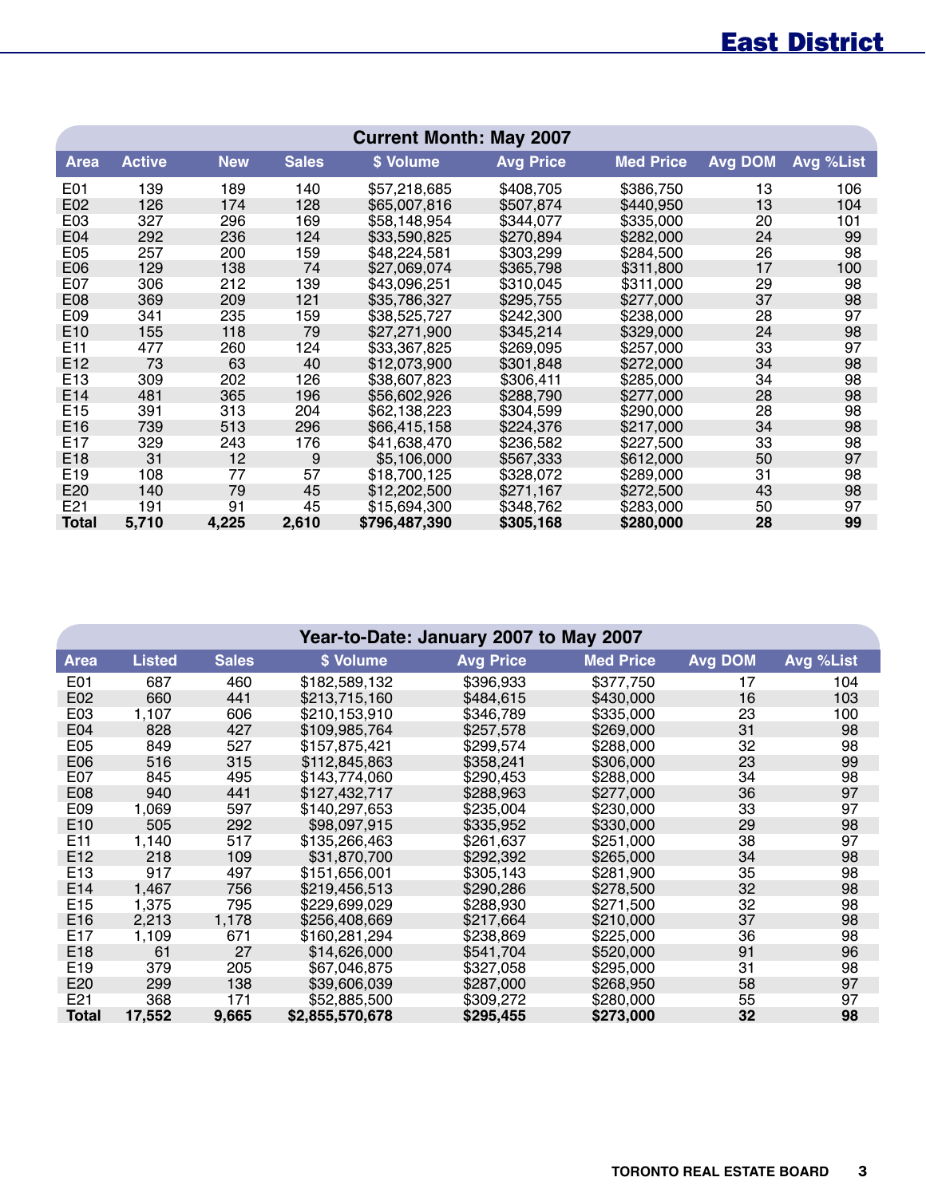## East District

|                 | <b>Current Month: May 2007</b> |            |              |               |                  |                  |                |           |  |  |  |  |  |
|-----------------|--------------------------------|------------|--------------|---------------|------------------|------------------|----------------|-----------|--|--|--|--|--|
| <b>Area</b>     | <b>Active</b>                  | <b>New</b> | <b>Sales</b> | \$ Volume     | <b>Avg Price</b> | <b>Med Price</b> | <b>Avg DOM</b> | Avg %List |  |  |  |  |  |
| E01             | 139                            | 189        | 140          | \$57,218,685  | \$408,705        | \$386,750        | 13             | 106       |  |  |  |  |  |
| E02             | 126                            | 174        | 128          | \$65,007,816  | \$507,874        | \$440,950        | 13             | 104       |  |  |  |  |  |
| E03             | 327                            | 296        | 169          | \$58,148,954  | \$344,077        | \$335,000        | 20             | 101       |  |  |  |  |  |
| E04             | 292                            | 236        | 124          | \$33,590,825  | \$270,894        | \$282,000        | 24             | 99        |  |  |  |  |  |
| E05             | 257                            | 200        | 159          | \$48,224,581  | \$303,299        | \$284,500        | 26             | 98        |  |  |  |  |  |
| E06             | 129                            | 138        | 74           | \$27,069,074  | \$365,798        | \$311,800        | 17             | 100       |  |  |  |  |  |
| E07             | 306                            | 212        | 139          | \$43,096,251  | \$310,045        | \$311,000        | 29             | 98        |  |  |  |  |  |
| E08             | 369                            | 209        | 121          | \$35,786,327  | \$295,755        | \$277,000        | 37             | 98        |  |  |  |  |  |
| E09             | 341                            | 235        | 159          | \$38,525,727  | \$242,300        | \$238,000        | 28             | 97        |  |  |  |  |  |
| E <sub>10</sub> | 155                            | 118        | 79           | \$27,271,900  | \$345,214        | \$329,000        | 24             | 98        |  |  |  |  |  |
| E11             | 477                            | 260        | 124          | \$33,367,825  | \$269,095        | \$257,000        | 33             | 97        |  |  |  |  |  |
| E12             | 73                             | 63         | 40           | \$12,073,900  | \$301,848        | \$272,000        | 34             | 98        |  |  |  |  |  |
| E <sub>13</sub> | 309                            | 202        | 126          | \$38,607,823  | \$306,411        | \$285,000        | 34             | 98        |  |  |  |  |  |
| E <sub>14</sub> | 481                            | 365        | 196          | \$56,602,926  | \$288,790        | \$277,000        | 28             | 98        |  |  |  |  |  |
| E <sub>15</sub> | 391                            | 313        | 204          | \$62,138,223  | \$304,599        | \$290,000        | 28             | 98        |  |  |  |  |  |
| E16             | 739                            | 513        | 296          | \$66,415,158  | \$224,376        | \$217,000        | 34             | 98        |  |  |  |  |  |
| E17             | 329                            | 243        | 176          | \$41,638,470  | \$236,582        | \$227,500        | 33             | 98        |  |  |  |  |  |
| E18             | 31                             | 12         | 9            | \$5,106,000   | \$567,333        | \$612,000        | 50             | 97        |  |  |  |  |  |
| E19             | 108                            | 77         | 57           | \$18,700,125  | \$328,072        | \$289,000        | 31             | 98        |  |  |  |  |  |
| E20             | 140                            | 79         | 45           | \$12,202,500  | \$271,167        | \$272,500        | 43             | 98        |  |  |  |  |  |
| E21             | 191                            | 91         | 45           | \$15,694,300  | \$348,762        | \$283,000        | 50             | 97        |  |  |  |  |  |
| <b>Total</b>    | 5,710                          | 4,225      | 2,610        | \$796,487,390 | \$305,168        | \$280,000        | 28             | 99        |  |  |  |  |  |

|                  | Year-to-Date: January 2007 to May 2007 |              |                 |                  |                  |                |           |  |  |  |  |  |  |
|------------------|----------------------------------------|--------------|-----------------|------------------|------------------|----------------|-----------|--|--|--|--|--|--|
| Area             | <b>Listed</b>                          | <b>Sales</b> | \$ Volume       | <b>Avg Price</b> | <b>Med Price</b> | <b>Avg DOM</b> | Avg %List |  |  |  |  |  |  |
| E01              | 687                                    | 460          | \$182,589,132   | \$396,933        | \$377,750        | 17             | 104       |  |  |  |  |  |  |
| E02              | 660                                    | 441          | \$213,715,160   | \$484,615        | \$430,000        | 16             | 103       |  |  |  |  |  |  |
| E03              | 1,107                                  | 606          | \$210,153,910   | \$346,789        | \$335,000        | 23             | 100       |  |  |  |  |  |  |
| E04              | 828                                    | 427          | \$109,985,764   | \$257,578        | \$269,000        | 31             | 98        |  |  |  |  |  |  |
| E05              | 849                                    | 527          | \$157,875,421   | \$299,574        | \$288,000        | 32             | 98        |  |  |  |  |  |  |
| E06              | 516                                    | 315          | \$112,845,863   | \$358,241        | \$306,000        | 23             | 99        |  |  |  |  |  |  |
| E07              | 845                                    | 495          | \$143,774,060   | \$290,453        | \$288,000        | 34             | 98        |  |  |  |  |  |  |
| E <sub>0</sub> 8 | 940                                    | 441          | \$127,432,717   | \$288,963        | \$277,000        | 36             | 97        |  |  |  |  |  |  |
| E09              | 1,069                                  | 597          | \$140.297.653   | \$235,004        | \$230,000        | 33             | 97        |  |  |  |  |  |  |
| E10              | 505                                    | 292          | \$98,097,915    | \$335,952        | \$330,000        | 29             | 98        |  |  |  |  |  |  |
| E11              | 1,140                                  | 517          | \$135,266,463   | \$261,637        | \$251,000        | 38             | 97        |  |  |  |  |  |  |
| E12              | 218                                    | 109          | \$31,870,700    | \$292,392        | \$265,000        | 34             | 98        |  |  |  |  |  |  |
| E <sub>13</sub>  | 917                                    | 497          | \$151,656,001   | \$305,143        | \$281,900        | 35             | 98        |  |  |  |  |  |  |
| E14              | 1,467                                  | 756          | \$219,456,513   | \$290,286        | \$278,500        | 32             | 98        |  |  |  |  |  |  |
| E <sub>15</sub>  | 1,375                                  | 795          | \$229,699,029   | \$288,930        | \$271,500        | 32             | 98        |  |  |  |  |  |  |
| E16              | 2,213                                  | 1,178        | \$256,408,669   | \$217,664        | \$210,000        | 37             | 98        |  |  |  |  |  |  |
| E17              | 1,109                                  | 671          | \$160,281,294   | \$238,869        | \$225,000        | 36             | 98        |  |  |  |  |  |  |
| E <sub>18</sub>  | 61                                     | 27           | \$14,626,000    | \$541,704        | \$520,000        | 91             | 96        |  |  |  |  |  |  |
| E <sub>19</sub>  | 379                                    | 205          | \$67,046,875    | \$327,058        | \$295,000        | 31             | 98        |  |  |  |  |  |  |
| E20              | 299                                    | 138          | \$39,606,039    | \$287,000        | \$268,950        | 58             | 97        |  |  |  |  |  |  |
| E21              | 368                                    | 171          | \$52,885,500    | \$309,272        | \$280,000        | 55             | 97        |  |  |  |  |  |  |
| <b>Total</b>     | 17,552                                 | 9,665        | \$2,855,570,678 | \$295,455        | \$273,000        | 32             | 98        |  |  |  |  |  |  |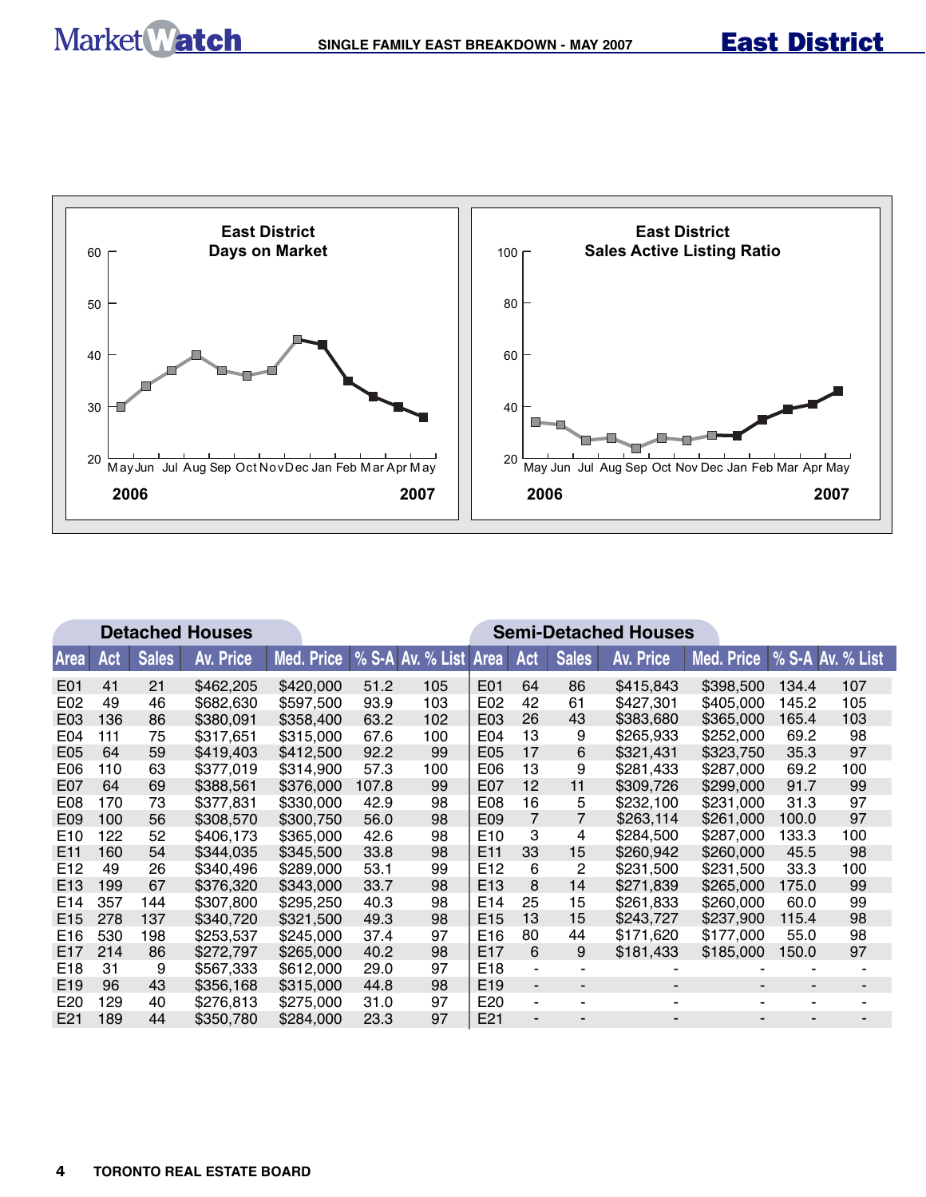

|                 |     |              | <b>Detached Houses</b> |            | <b>Semi-Detached Houses</b> |                              |                 |                |                |                  |                             |       |     |
|-----------------|-----|--------------|------------------------|------------|-----------------------------|------------------------------|-----------------|----------------|----------------|------------------|-----------------------------|-------|-----|
| <b>Area</b>     | Act | <b>Sales</b> | <b>Av. Price</b>       | Med. Price |                             | <b>% S-A Av. % List Area</b> |                 | Act            | <b>Sales</b>   | <b>Av. Price</b> | Med. Price % S-A Av. % List |       |     |
| E01             | 41  | 21           | \$462,205              | \$420,000  | 51.2                        | 105                          | E01             | 64             | 86             | \$415,843        | \$398,500                   | 134.4 | 107 |
| E02             | 49  | 46           | \$682,630              | \$597,500  | 93.9                        | 103                          | E02             | 42             | 61             | \$427.301        | \$405,000                   | 145.2 | 105 |
| E03             | 136 | 86           | \$380.091              | \$358,400  | 63.2                        | 102                          | E03             | 26             | 43             | \$383,680        | \$365,000                   | 165.4 | 103 |
| E04             | 111 | 75           | \$317,651              | \$315,000  | 67.6                        | 100                          | E04             | 13             | 9              | \$265,933        | \$252,000                   | 69.2  | 98  |
| E05             | 64  | 59           | \$419,403              | \$412,500  | 92.2                        | 99                           | E05             | 17             | 6              | \$321.431        | \$323,750                   | 35.3  | 97  |
| E <sub>06</sub> | 110 | 63           | \$377,019              | \$314,900  | 57.3                        | 100                          | E06             | 13             | 9              | \$281,433        | \$287,000                   | 69.2  | 100 |
| E07             | 64  | 69           | \$388,561              | \$376,000  | 107.8                       | 99                           | E07             | 12             | 11             | \$309,726        | \$299,000                   | 91.7  | 99  |
| E <sub>08</sub> | 170 | 73           | \$377,831              | \$330,000  | 42.9                        | 98                           | E08             | 16             | 5              | \$232,100        | \$231,000                   | 31.3  | 97  |
| E09             | 100 | 56           | \$308,570              | \$300.750  | 56.0                        | 98                           | E09             | 7              | $\overline{7}$ | \$263,114        | \$261,000                   | 100.0 | 97  |
| E <sub>10</sub> | 122 | 52           | \$406,173              | \$365,000  | 42.6                        | 98                           | E <sub>10</sub> | 3              | 4              | \$284,500        | \$287,000                   | 133.3 | 100 |
| E <sub>11</sub> | 160 | 54           | \$344,035              | \$345,500  | 33.8                        | 98                           | E <sub>11</sub> | 33             | 15             | \$260,942        | \$260,000                   | 45.5  | 98  |
| E <sub>12</sub> | 49  | 26           | \$340,496              | \$289,000  | 53.1                        | 99                           | E <sub>12</sub> | 6              | 2              | \$231,500        | \$231,500                   | 33.3  | 100 |
| E <sub>13</sub> | 199 | 67           | \$376,320              | \$343,000  | 33.7                        | 98                           | E <sub>13</sub> | 8              | 14             | \$271,839        | \$265,000                   | 175.0 | 99  |
| E <sub>14</sub> | 357 | 144          | \$307,800              | \$295,250  | 40.3                        | 98                           | E14             | 25             | 15             | \$261.833        | \$260,000                   | 60.0  | 99  |
| E <sub>15</sub> | 278 | 137          | \$340,720              | \$321,500  | 49.3                        | 98                           | E <sub>15</sub> | 13             | 15             | \$243,727        | \$237,900                   | 115.4 | 98  |
| E16             | 530 | 198          | \$253,537              | \$245,000  | 37.4                        | 97                           | E <sub>16</sub> | 80             | 44             | \$171,620        | \$177,000                   | 55.0  | 98  |
| E <sub>17</sub> | 214 | 86           | \$272,797              | \$265,000  | 40.2                        | 98                           | E <sub>17</sub> | 6              | 9              | \$181,433        | \$185,000                   | 150.0 | 97  |
| E <sub>18</sub> | 31  | 9            | \$567,333              | \$612,000  | 29.0                        | 97                           | E <sub>18</sub> | $\blacksquare$ |                |                  |                             |       |     |
| E <sub>19</sub> | 96  | 43           | \$356.168              | \$315,000  | 44.8                        | 98                           | E <sub>19</sub> | $\blacksquare$ |                |                  |                             |       |     |
| E <sub>20</sub> | 129 | 40           | \$276,813              | \$275,000  | 31.0                        | 97                           | E20             | $\blacksquare$ |                |                  |                             |       |     |
| E21             | 189 | 44           | \$350,780              | \$284,000  | 23.3                        | 97                           | E <sub>21</sub> |                |                |                  |                             |       |     |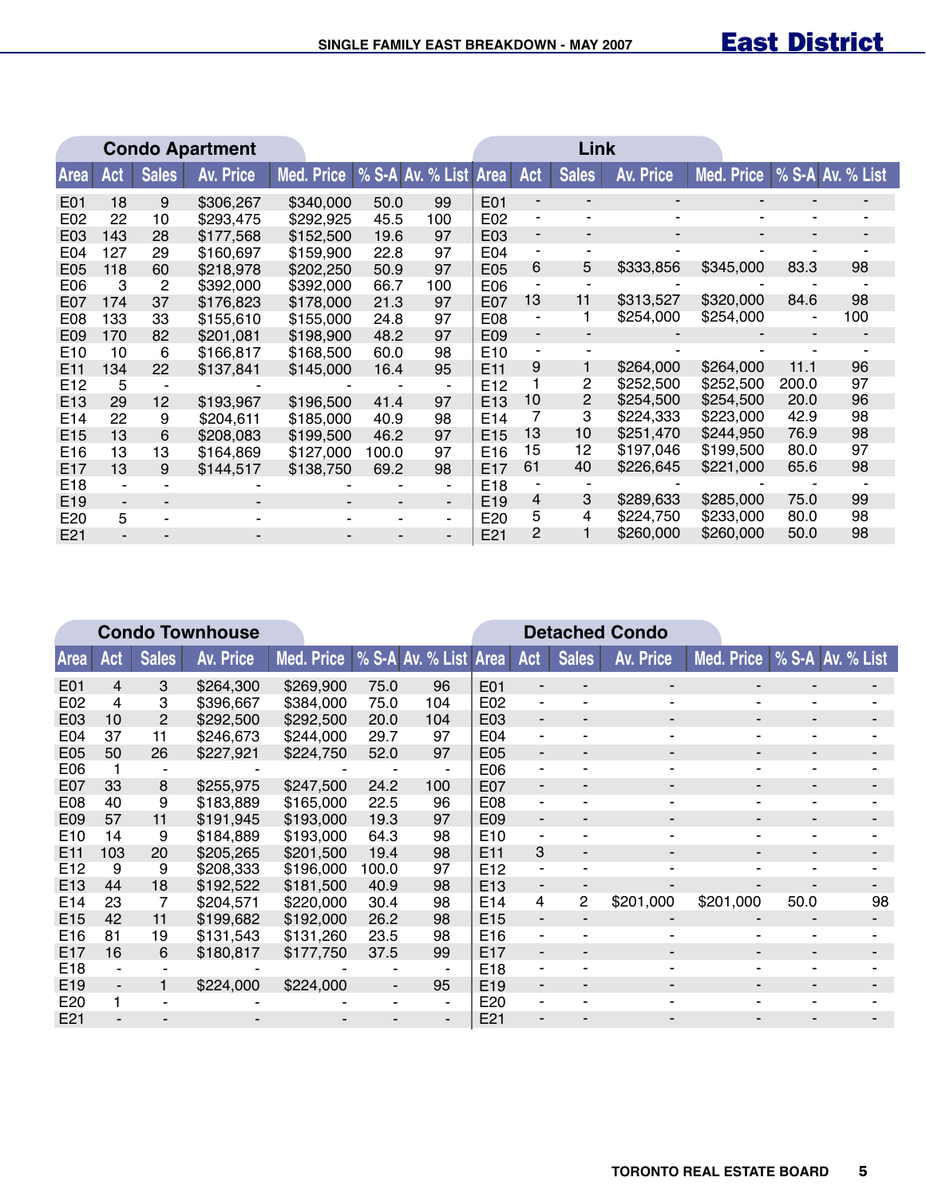|                 | <b>Condo Apartment</b>   |              |                  |                               |       |     | Link            |                          |              |           |            |       |                  |
|-----------------|--------------------------|--------------|------------------|-------------------------------|-------|-----|-----------------|--------------------------|--------------|-----------|------------|-------|------------------|
| Area            | Act                      | <b>Sales</b> | <b>Av. Price</b> | Med. Price   % S-A Av. % List |       |     | <b>Area</b>     | Act                      | <b>Sales</b> | Av. Price | Med. Price |       | % S-A Av. % List |
| E01             | 18                       | 9            | \$306,267        | \$340,000                     | 50.0  | 99  | E01             |                          |              |           |            |       |                  |
| E02             | 22                       | 10           | \$293,475        | \$292,925                     | 45.5  | 100 | E02             |                          |              | ۰         | ۰          |       |                  |
| E03             | 143                      | 28           | \$177,568        | \$152,500                     | 19.6  | 97  | E03             |                          |              |           |            |       |                  |
| E <sub>04</sub> | 127                      | 29           | \$160,697        | \$159,900                     | 22.8  | 97  | E04             |                          |              |           |            |       |                  |
| E05             | 118                      | 60           | \$218,978        | \$202,250                     | 50.9  | 97  | E05             | 6                        | 5            | \$333,856 | \$345,000  | 83.3  | 98               |
| E06             | 3                        | 2            | \$392,000        | \$392,000                     | 66.7  | 100 | E06             |                          |              |           |            |       |                  |
| E07             | 174                      | 37           | \$176,823        | \$178,000                     | 21.3  | 97  | E07             | 13                       | 11           | \$313,527 | \$320,000  | 84.6  | 98               |
| E08             | 133                      | 33           | \$155,610        | \$155,000                     | 24.8  | 97  | E08             | ä,                       |              | \$254,000 | \$254,000  |       | 100              |
| E09             | 170                      | 82           | \$201,081        | \$198,900                     | 48.2  | 97  | E09             | $\overline{\phantom{a}}$ |              |           |            |       |                  |
| E <sub>10</sub> | 10                       | 6            | \$166,817        | \$168,500                     | 60.0  | 98  | E10             | $\blacksquare$           | ٠            |           |            |       |                  |
| E <sub>11</sub> | 134                      | 22           | \$137,841        | \$145,000                     | 16.4  | 95  | E <sub>11</sub> | 9                        |              | \$264,000 | \$264,000  | 11.1  | 96               |
| E <sub>12</sub> | 5                        |              |                  |                               |       |     | E12             |                          | 2            | \$252,500 | \$252,500  | 200.0 | 97               |
| E <sub>13</sub> | 29                       | 12           | \$193,967        | \$196,500                     | 41.4  | 97  | E <sub>13</sub> | 10                       | 2            | \$254,500 | \$254,500  | 20.0  | 96               |
| E14             | 22                       | 9            | \$204,611        | \$185,000                     | 40.9  | 98  | E14             | 7                        | 3            | \$224,333 | \$223,000  | 42.9  | 98               |
| E15             | 13                       | 6            | \$208,083        | \$199,500                     | 46.2  | 97  | E <sub>15</sub> | 13                       | 10           | \$251,470 | \$244.950  | 76.9  | 98               |
| E <sub>16</sub> | 13                       | 13           | \$164,869        | \$127,000                     | 100.0 | 97  | E <sub>16</sub> | 15                       | 12           | \$197,046 | \$199,500  | 80.0  | 97               |
| E <sub>17</sub> | 13                       | 9            | \$144,517        | \$138,750                     | 69.2  | 98  | E <sub>17</sub> | 61                       | 40           | \$226,645 | \$221,000  | 65.6  | 98               |
| E18             |                          |              |                  |                               |       |     | E <sub>18</sub> |                          |              |           |            |       |                  |
| E19             | $\overline{\phantom{a}}$ | -            |                  |                               |       | ٠   | E <sub>19</sub> | 4                        | 3            | \$289,633 | \$285,000  | 75.0  | 99               |
| E20             | 5                        |              |                  |                               |       | ۰   | E20             | 5                        | 4            | \$224,750 | \$233,000  | 80.0  | 98               |
| E21             |                          |              |                  |                               |       |     | E21             | 2                        |              | \$260,000 | \$260,000  | 50.0  | 98               |

|                 |     |              | <b>Condo Townhouse</b> |            |       |                       |                 |                          |              | <b>Detached Condo</b> |                |                          |    |
|-----------------|-----|--------------|------------------------|------------|-------|-----------------------|-----------------|--------------------------|--------------|-----------------------|----------------|--------------------------|----|
| <b>Area</b>     | Act | <b>Sales</b> | <b>Av. Price</b>       | Med. Price |       | % S-A Av. % List Area |                 | Act                      | <b>Sales</b> | <b>Av. Price</b>      | Med. Price     | % S-A Av. % List         |    |
| E01             | 4   | 3            | \$264,300              | \$269,900  | 75.0  | 96                    | E01             |                          |              | ۰                     |                |                          |    |
| E02             | 4   | 3            | \$396,667              | \$384,000  | 75.0  | 104                   | E02             |                          |              |                       |                |                          |    |
| E03             | 10  | 2            | \$292,500              | \$292,500  | 20.0  | 104                   | E03             | ٠                        |              | ۰                     |                |                          |    |
| E <sub>04</sub> | 37  | 11           | \$246,673              | \$244,000  | 29.7  | 97                    | E04             |                          |              |                       |                |                          |    |
| E05             | 50  | 26           | \$227,921              | \$224,750  | 52.0  | 97                    | E05             | ٠                        | -            | ۰.                    | $\blacksquare$ | $\overline{\phantom{0}}$ |    |
| E06             |     |              |                        |            |       | ۰                     | E06             |                          |              |                       |                |                          |    |
| E07             | 33  | 8            | \$255,975              | \$247,500  | 24.2  | 100                   | E07             | ۰                        |              |                       |                |                          |    |
| E08             | 40  | 9            | \$183,889              | \$165,000  | 22.5  | 96                    | E08             |                          |              |                       |                |                          |    |
| E09             | 57  | 11           | \$191,945              | \$193,000  | 19.3  | 97                    | E09             | $\overline{\phantom{0}}$ |              |                       |                |                          |    |
| E <sub>10</sub> | 14  | 9            | \$184,889              | \$193,000  | 64.3  | 98                    | E <sub>10</sub> |                          |              |                       |                |                          |    |
| E <sub>11</sub> | 103 | 20           | \$205,265              | \$201,500  | 19.4  | 98                    | E <sub>11</sub> | 3                        |              |                       |                |                          |    |
| E12             | 9   | 9            | \$208,333              | \$196,000  | 100.0 | 97                    | E12             |                          |              |                       |                |                          |    |
| E <sub>13</sub> | 44  | 18           | \$192,522              | \$181.500  | 40.9  | 98                    | E <sub>13</sub> |                          |              |                       |                |                          |    |
| E14             | 23  |              | \$204,571              | \$220,000  | 30.4  | 98                    | E <sub>14</sub> | 4                        | 2            | \$201,000             | \$201,000      | 50.0                     | 98 |
| E <sub>15</sub> | 42  | 11           | \$199,682              | \$192,000  | 26.2  | 98                    | E <sub>15</sub> |                          |              |                       |                |                          |    |
| E <sub>16</sub> | 81  | 19           | \$131,543              | \$131,260  | 23.5  | 98                    | E16             |                          |              |                       |                |                          |    |
| E17             | 16  | 6            | \$180,817              | \$177,750  | 37.5  | 99                    | E17             |                          |              |                       |                |                          |    |
| E18             |     |              |                        |            |       |                       | E18             |                          |              |                       |                |                          |    |
| E19             |     |              | \$224,000              | \$224,000  | ۰     | 95                    | E19             |                          |              |                       |                |                          |    |
| E20             |     |              |                        |            |       | ۰.                    | E20             |                          |              |                       |                |                          |    |
| E <sub>21</sub> |     |              |                        |            |       |                       | E21             |                          |              |                       |                |                          |    |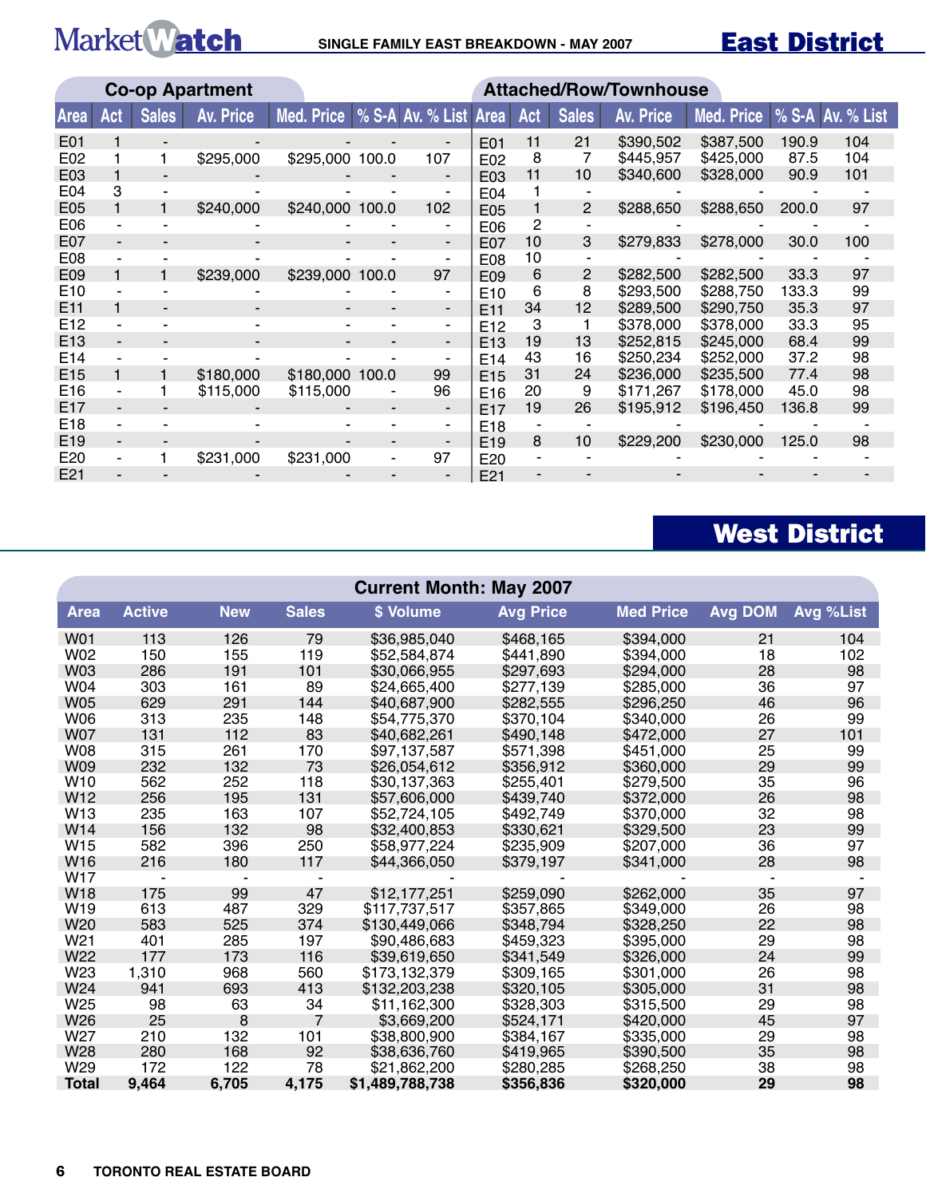|                 |     |              | <b>Co-op Apartment</b> |                 | <b>Attached/Row/Townhouse</b> |                       |                 |     |                 |                  |            |       |                  |
|-----------------|-----|--------------|------------------------|-----------------|-------------------------------|-----------------------|-----------------|-----|-----------------|------------------|------------|-------|------------------|
| <b>Area</b>     | Act | <b>Sales</b> | <b>Av. Price</b>       | Med. Price      |                               | % S-A Av. % List Area |                 | Act | <b>Sales</b>    | <b>Av. Price</b> | Med. Price |       | % S-A Av. % List |
| E01             |     |              |                        |                 |                               |                       | E01             | 11  | 21              | \$390,502        | \$387,500  | 190.9 | 104              |
| E02             |     |              | \$295,000              | \$295,000 100.0 |                               | 107                   | E02             | 8   |                 | \$445,957        | \$425,000  | 87.5  | 104              |
| E03             |     |              |                        |                 |                               | ۰                     | E <sub>03</sub> | 11  | 10 <sup>1</sup> | \$340,600        | \$328,000  | 90.9  | 101              |
| E04             | 3   |              |                        |                 |                               |                       | E04             |     |                 |                  |            |       |                  |
| E05             |     |              | \$240,000              | \$240,000 100.0 |                               | 102                   | E05             |     | 2               | \$288,650        | \$288,650  | 200.0 | 97               |
| E06             |     |              |                        |                 |                               |                       | E06             | 2   |                 |                  |            |       |                  |
| E07             |     |              |                        |                 |                               | ۰.                    | E07             | 10  | 3               | \$279,833        | \$278,000  | 30.0  | 100              |
| E08             |     |              |                        |                 |                               |                       | E08             | 10  |                 |                  |            |       |                  |
| E09             |     |              | \$239,000              | \$239,000 100.0 |                               | 97                    | E <sub>09</sub> | 6   | 2               | \$282,500        | \$282,500  | 33.3  | 97               |
| E <sub>10</sub> |     |              |                        |                 |                               |                       | E <sub>10</sub> | 6   | 8               | \$293,500        | \$288,750  | 133.3 | 99               |
| E <sub>11</sub> |     |              |                        |                 | -                             | ۰.                    | E <sub>11</sub> | 34  | 12              | \$289,500        | \$290,750  | 35.3  | 97               |
| E12             |     |              |                        |                 |                               | ۰                     | E <sub>12</sub> | 3   |                 | \$378,000        | \$378,000  | 33.3  | 95               |
| E <sub>13</sub> |     |              |                        |                 |                               | -                     | E <sub>13</sub> | 19  | 13              | \$252,815        | \$245,000  | 68.4  | 99               |
| E14             |     |              |                        |                 |                               |                       | E14             | 43  | 16              | \$250,234        | \$252,000  | 37.2  | 98               |
| E15             |     |              | \$180,000              | \$180,000 100.0 |                               | 99                    | E <sub>15</sub> | 31  | 24              | \$236,000        | \$235,500  | 77.4  | 98               |
| E16             |     |              | \$115,000              | \$115,000       |                               | 96                    | E <sub>16</sub> | 20  | 9               | \$171,267        | \$178,000  | 45.0  | 98               |
| E <sub>17</sub> |     |              |                        |                 |                               |                       | E <sub>17</sub> | 19  | 26              | \$195,912        | \$196,450  | 136.8 | 99               |
| E18             |     |              |                        |                 |                               |                       | E <sub>18</sub> |     |                 |                  |            |       |                  |
| E <sub>19</sub> |     |              |                        |                 |                               | -                     | E <sub>19</sub> | 8   | 10              | \$229,200        | \$230,000  | 125.0 | 98               |
| E20             |     |              | \$231,000              | \$231,000       |                               | 97                    | E20             |     |                 |                  |            |       |                  |
| E21             |     |              |                        |                 |                               |                       | E <sub>21</sub> |     |                 |                  |            |       |                  |

## West District

|                 | <b>Current Month: May 2007</b> |            |              |                 |                  |                  |                |           |  |  |  |  |  |
|-----------------|--------------------------------|------------|--------------|-----------------|------------------|------------------|----------------|-----------|--|--|--|--|--|
| <b>Area</b>     | <b>Active</b>                  | <b>New</b> | <b>Sales</b> | \$ Volume       | <b>Avg Price</b> | <b>Med Price</b> | <b>Avg DOM</b> | Avg %List |  |  |  |  |  |
| <b>W01</b>      | 113                            | 126        | 79           | \$36,985,040    | \$468,165        | \$394,000        | 21             | 104       |  |  |  |  |  |
| W02             | 150                            | 155        | 119          | \$52,584,874    | \$441,890        | \$394,000        | 18             | 102       |  |  |  |  |  |
| <b>W03</b>      | 286                            | 191        | 101          | \$30,066,955    | \$297,693        | \$294,000        | 28             | 98        |  |  |  |  |  |
| W04             | 303                            | 161        | 89           | \$24,665,400    | \$277,139        | \$285,000        | 36             | 97        |  |  |  |  |  |
| <b>W05</b>      | 629                            | 291        | 144          | \$40,687,900    | \$282,555        | \$296,250        | 46             | 96        |  |  |  |  |  |
| <b>W06</b>      | 313                            | 235        | 148          | \$54,775,370    | \$370,104        | \$340,000        | 26             | 99        |  |  |  |  |  |
| <b>W07</b>      | 131                            | 112        | 83           | \$40,682,261    | \$490,148        | \$472,000        | 27             | 101       |  |  |  |  |  |
| <b>W08</b>      | 315                            | 261        | 170          | \$97,137,587    | \$571,398        | \$451,000        | 25             | 99        |  |  |  |  |  |
| <b>W09</b>      | 232                            | 132        | 73           | \$26,054,612    | \$356,912        | \$360,000        | 29             | 99        |  |  |  |  |  |
| W <sub>10</sub> | 562                            | 252        | 118          | \$30,137,363    | \$255,401        | \$279,500        | 35             | 96        |  |  |  |  |  |
| W12             | 256                            | 195        | 131          | \$57,606,000    | \$439,740        | \$372,000        | 26             | 98        |  |  |  |  |  |
| W13             | 235                            | 163        | 107          | \$52,724,105    | \$492,749        | \$370,000        | 32             | 98        |  |  |  |  |  |
| W14             | 156                            | 132        | 98           | \$32,400,853    | \$330,621        | \$329,500        | 23             | 99        |  |  |  |  |  |
| W <sub>15</sub> | 582                            | 396        | 250          | \$58,977,224    | \$235,909        | \$207,000        | 36             | 97        |  |  |  |  |  |
| W <sub>16</sub> | 216                            | 180        | 117          | \$44,366,050    | \$379,197        | \$341,000        | 28             | 98        |  |  |  |  |  |
| <b>W17</b>      |                                |            |              |                 |                  |                  |                |           |  |  |  |  |  |
| <b>W18</b>      | 175                            | 99         | 47           | \$12,177,251    | \$259,090        | \$262,000        | 35             | 97        |  |  |  |  |  |
| W19             | 613                            | 487        | 329          | \$117,737,517   | \$357,865        | \$349,000        | 26             | 98        |  |  |  |  |  |
| W20             | 583                            | 525        | 374          | \$130,449,066   | \$348,794        | \$328,250        | 22             | 98        |  |  |  |  |  |
| W <sub>21</sub> | 401                            | 285        | 197          | \$90,486,683    | \$459,323        | \$395,000        | 29             | 98        |  |  |  |  |  |
| W22             | 177                            | 173        | 116          | \$39,619,650    | \$341.549        | \$326,000        | 24             | 99        |  |  |  |  |  |
| W23             | 1,310                          | 968        | 560          | \$173,132,379   | \$309,165        | \$301,000        | 26             | 98        |  |  |  |  |  |
| W24             | 941                            | 693        | 413          | \$132,203,238   | \$320,105        | \$305,000        | 31             | 98        |  |  |  |  |  |
| W25             | 98                             | 63         | 34           | \$11,162,300    | \$328,303        | \$315,500        | 29             | 98        |  |  |  |  |  |
| W26             | 25                             | 8          | 7            | \$3,669,200     | \$524,171        | \$420,000        | 45             | 97        |  |  |  |  |  |
| W27             | 210                            | 132        | 101          | \$38,800,900    | \$384,167        | \$335,000        | 29             | 98        |  |  |  |  |  |
| W28             | 280                            | 168        | 92           | \$38,636,760    | \$419,965        | \$390,500        | 35             | 98        |  |  |  |  |  |
| W29             | 172                            | 122        | 78           | \$21,862,200    | \$280,285        | \$268,250        | 38             | 98        |  |  |  |  |  |
| <b>Total</b>    | 9,464                          | 6,705      | 4,175        | \$1,489,788,738 | \$356,836        | \$320,000        | 29             | 98        |  |  |  |  |  |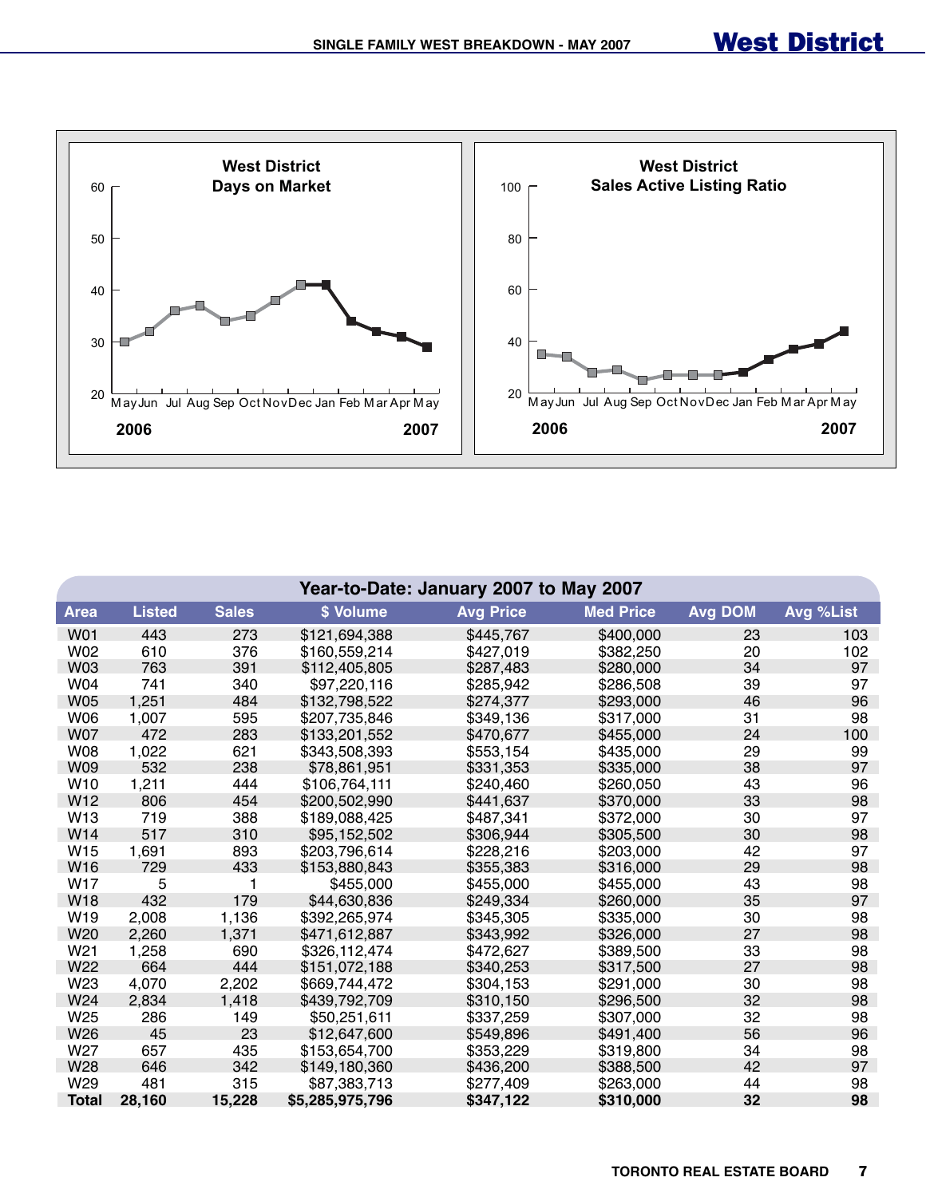

|                 | Year-to-Date: January 2007 to May 2007 |              |                 |                  |                  |                |           |  |  |  |  |  |
|-----------------|----------------------------------------|--------------|-----------------|------------------|------------------|----------------|-----------|--|--|--|--|--|
| <b>Area</b>     | <b>Listed</b>                          | <b>Sales</b> | \$ Volume       | <b>Avg Price</b> | <b>Med Price</b> | <b>Avg DOM</b> | Avg %List |  |  |  |  |  |
| <b>W01</b>      | 443                                    | 273          | \$121,694,388   | \$445,767        | \$400,000        | 23             | 103       |  |  |  |  |  |
| W02             | 610                                    | 376          | \$160,559,214   | \$427,019        | \$382,250        | 20             | 102       |  |  |  |  |  |
| W03             | 763                                    | 391          | \$112,405,805   | \$287,483        | \$280,000        | 34             | 97        |  |  |  |  |  |
| W04             | 741                                    | 340          | \$97,220,116    | \$285,942        | \$286,508        | 39             | 97        |  |  |  |  |  |
| <b>W05</b>      | 1,251                                  | 484          | \$132,798,522   | \$274,377        | \$293,000        | 46             | 96        |  |  |  |  |  |
| W06             | 1,007                                  | 595          | \$207,735,846   | \$349,136        | \$317,000        | 31             | 98        |  |  |  |  |  |
| <b>W07</b>      | 472                                    | 283          | \$133,201,552   | \$470,677        | \$455,000        | 24             | 100       |  |  |  |  |  |
| <b>W08</b>      | 1,022                                  | 621          | \$343,508,393   | \$553,154        | \$435,000        | 29             | 99        |  |  |  |  |  |
| W09             | 532                                    | 238          | \$78,861,951    | \$331,353        | \$335,000        | 38             | 97        |  |  |  |  |  |
| W10             | 1,211                                  | 444          | \$106,764,111   | \$240,460        | \$260,050        | 43             | 96        |  |  |  |  |  |
| W12             | 806                                    | 454          | \$200,502,990   | \$441,637        | \$370,000        | 33             | 98        |  |  |  |  |  |
| W <sub>13</sub> | 719                                    | 388          | \$189,088,425   | \$487,341        | \$372,000        | 30             | 97        |  |  |  |  |  |
| W <sub>14</sub> | 517                                    | 310          | \$95,152,502    | \$306,944        | \$305,500        | 30             | 98        |  |  |  |  |  |
| W <sub>15</sub> | 1,691                                  | 893          | \$203,796,614   | \$228,216        | \$203,000        | 42             | 97        |  |  |  |  |  |
| W16             | 729                                    | 433          | \$153,880,843   | \$355,383        | \$316,000        | 29             | 98        |  |  |  |  |  |
| W17             | 5                                      | 1            | \$455,000       | \$455,000        | \$455,000        | 43             | 98        |  |  |  |  |  |
| <b>W18</b>      | 432                                    | 179          | \$44,630,836    | \$249,334        | \$260,000        | 35             | 97        |  |  |  |  |  |
| W19             | 2,008                                  | 1,136        | \$392,265,974   | \$345,305        | \$335,000        | 30             | 98        |  |  |  |  |  |
| W20             | 2,260                                  | 1,371        | \$471,612,887   | \$343,992        | \$326,000        | 27             | 98        |  |  |  |  |  |
| W21             | 1,258                                  | 690          | \$326,112,474   | \$472,627        | \$389,500        | 33             | 98        |  |  |  |  |  |
| W22             | 664                                    | 444          | \$151,072,188   | \$340,253        | \$317,500        | 27             | 98        |  |  |  |  |  |
| W23             | 4,070                                  | 2,202        | \$669,744,472   | \$304,153        | \$291,000        | 30             | 98        |  |  |  |  |  |
| W24             | 2,834                                  | 1,418        | \$439,792,709   | \$310,150        | \$296,500        | 32             | 98        |  |  |  |  |  |
| W25             | 286                                    | 149          | \$50,251,611    | \$337,259        | \$307,000        | 32             | 98        |  |  |  |  |  |
| W26             | 45                                     | 23           | \$12,647,600    | \$549,896        | \$491,400        | 56             | 96        |  |  |  |  |  |
| W27             | 657                                    | 435          | \$153,654,700   | \$353,229        | \$319,800        | 34             | 98        |  |  |  |  |  |
| W28             | 646                                    | 342          | \$149,180,360   | \$436,200        | \$388,500        | 42             | 97        |  |  |  |  |  |
| W29             | 481                                    | 315          | \$87,383,713    | \$277,409        | \$263,000        | 44             | 98        |  |  |  |  |  |
| <b>Total</b>    | 28,160                                 | 15,228       | \$5,285,975,796 | \$347,122        | \$310,000        | 32             | 98        |  |  |  |  |  |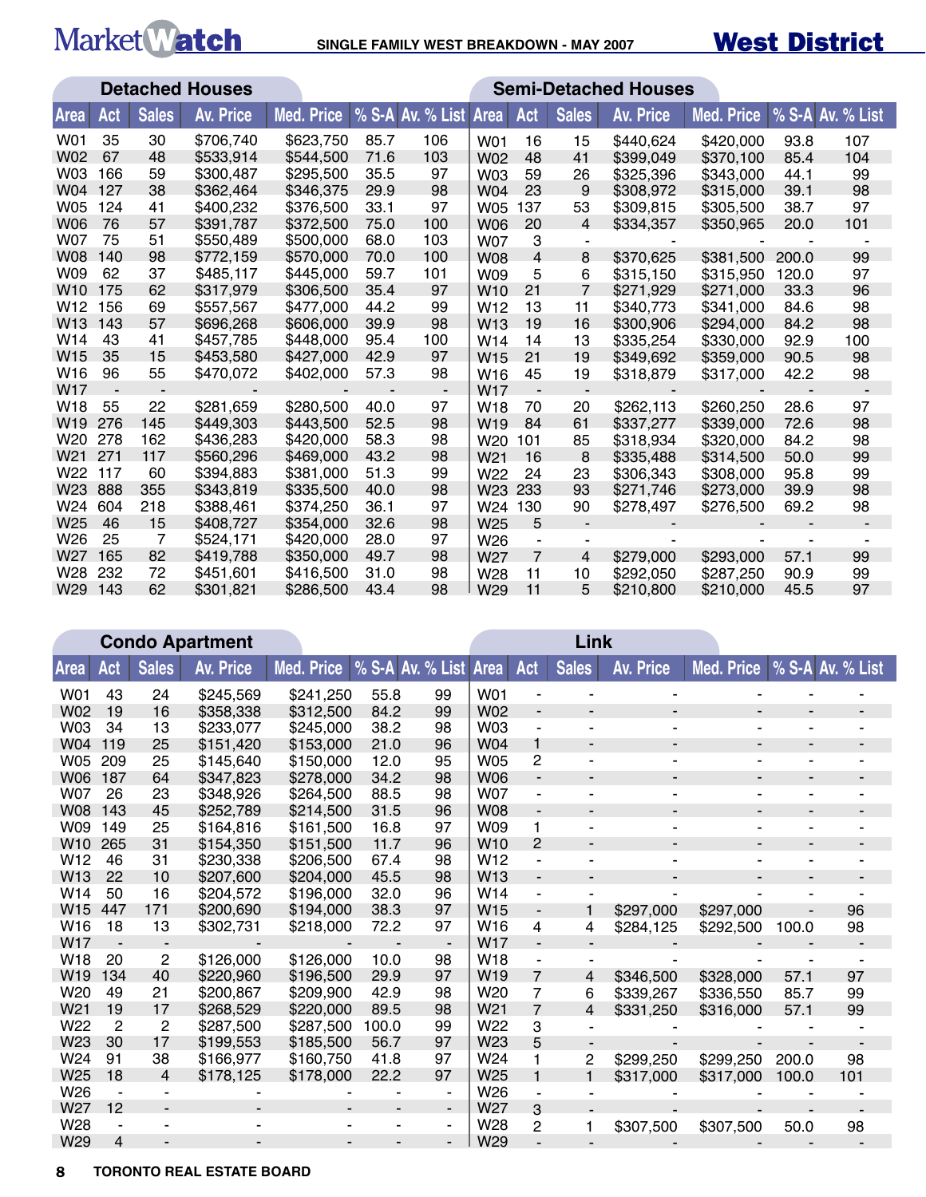

|                 |     |              | <b>Detached Houses</b> | <b>Semi-Detached Houses</b> |      |                          |                 |                |                |                  |            |       |                  |
|-----------------|-----|--------------|------------------------|-----------------------------|------|--------------------------|-----------------|----------------|----------------|------------------|------------|-------|------------------|
| <b>Area</b>     | Act | <b>Sales</b> | <b>Av. Price</b>       | <b>Med. Price</b>           |      | % S-A Av. % List         | <b>Area</b>     | Act            | <b>Sales</b>   | <b>Av. Price</b> | Med. Price |       | % S-A Av. % List |
| W01             | 35  | 30           | \$706,740              | \$623,750                   | 85.7 | 106                      | W01             | 16             | 15             | \$440,624        | \$420,000  | 93.8  | 107              |
| W02             | 67  | 48           | \$533,914              | \$544,500                   | 71.6 | 103                      | W02             | 48             | 41             | \$399,049        | \$370,100  | 85.4  | 104              |
| W03             | 166 | 59           | \$300,487              | \$295,500                   | 35.5 | 97                       | W03             | 59             | 26             | \$325,396        | \$343,000  | 44.1  | 99               |
| W04             | 127 | 38           | \$362,464              | \$346,375                   | 29.9 | 98                       | W04             | 23             | 9              | \$308,972        | \$315,000  | 39.1  | 98               |
| W05             | 124 | 41           | \$400,232              | \$376,500                   | 33.1 | 97                       | <b>W05</b>      | 137            | 53             | \$309,815        | \$305,500  | 38.7  | 97               |
| W06             | 76  | 57           | \$391,787              | \$372,500                   | 75.0 | 100                      | <b>W06</b>      | 20             | 4              | \$334,357        | \$350,965  | 20.0  | 101              |
| W07             | 75  | 51           | \$550,489              | \$500,000                   | 68.0 | 103                      | <b>W07</b>      | 3              |                |                  |            |       |                  |
| <b>W08</b>      | 140 | 98           | \$772,159              | \$570,000                   | 70.0 | 100                      | <b>W08</b>      | $\overline{4}$ | 8              | \$370,625        | \$381,500  | 200.0 | 99               |
| W09             | 62  | 37           | \$485,117              | \$445,000                   | 59.7 | 101                      | W09             | 5              | 6              | \$315,150        | \$315,950  | 120.0 | 97               |
| W10             | 175 | 62           | \$317,979              | \$306,500                   | 35.4 | 97                       | W <sub>10</sub> | 21             | $\overline{7}$ | \$271,929        | \$271,000  | 33.3  | 96               |
| W <sub>12</sub> | 156 | 69           | \$557,567              | \$477,000                   | 44.2 | 99                       | W <sub>12</sub> | 13             | 11             | \$340.773        | \$341,000  | 84.6  | 98               |
| W <sub>13</sub> | 143 | 57           | \$696,268              | \$606,000                   | 39.9 | 98                       | W <sub>13</sub> | 19             | 16             | \$300,906        | \$294,000  | 84.2  | 98               |
| W <sub>14</sub> | 43  | 41           | \$457,785              | \$448,000                   | 95.4 | 100                      | W <sub>14</sub> | 14             | 13             | \$335,254        | \$330,000  | 92.9  | 100              |
| W15             | 35  | 15           | \$453,580              | \$427,000                   | 42.9 | 97                       | W <sub>15</sub> | 21             | 19             | \$349,692        | \$359,000  | 90.5  | 98               |
| W16             | 96  | 55           | \$470,072              | \$402,000                   | 57.3 | 98                       | W <sub>16</sub> | 45             | 19             | \$318,879        | \$317,000  | 42.2  | 98               |
| W <sub>17</sub> |     |              |                        |                             |      | $\overline{\phantom{a}}$ | W <sub>17</sub> |                |                |                  |            |       |                  |
| W18             | 55  | 22           | \$281,659              | \$280,500                   | 40.0 | 97                       | W18             | 70             | 20             | \$262,113        | \$260,250  | 28.6  | 97               |
| W <sub>19</sub> | 276 | 145          | \$449,303              | \$443,500                   | 52.5 | 98                       | W <sub>19</sub> | 84             | 61             | \$337,277        | \$339,000  | 72.6  | 98               |
| W20             | 278 | 162          | \$436,283              | \$420,000                   | 58.3 | 98                       | W <sub>20</sub> | 101            | 85             | \$318,934        | \$320,000  | 84.2  | 98               |
| W21             | 271 | 117          | \$560,296              | \$469,000                   | 43.2 | 98                       | W <sub>21</sub> | 16             | 8              | \$335,488        | \$314,500  | 50.0  | 99               |
| W22             | 117 | 60           | \$394,883              | \$381,000                   | 51.3 | 99                       | W22             | 24             | 23             | \$306,343        | \$308,000  | 95.8  | 99               |
| W23             | 888 | 355          | \$343,819              | \$335,500                   | 40.0 | 98                       | W23             | 233            | 93             | \$271,746        | \$273,000  | 39.9  | 98               |
| W24             | 604 | 218          | \$388,461              | \$374,250                   | 36.1 | 97                       | W24 130         |                | 90             | \$278,497        | \$276,500  | 69.2  | 98               |
| W25             | 46  | 15           | \$408.727              | \$354,000                   | 32.6 | 98                       | W <sub>25</sub> | 5              |                |                  |            |       |                  |
| W26             | 25  | 7            | \$524,171              | \$420,000                   | 28.0 | 97                       | W <sub>26</sub> | ٠              |                |                  |            |       |                  |
| W27             | 165 | 82           | \$419.788              | \$350,000                   | 49.7 | 98                       | W <sub>27</sub> | $\overline{7}$ | 4              | \$279,000        | \$293,000  | 57.1  | 99               |
| W28             | 232 | 72           | \$451,601              | \$416,500                   | 31.0 | 98                       | W28             | 11             | 10             | \$292,050        | \$287,250  | 90.9  | 99               |
| W29             | 143 | 62           | \$301,821              | \$286,500                   | 43.4 | 98                       | W29             | 11             | 5              | \$210,800        | \$210,000  | 45.5  | 97               |

|                 |                          |              | <b>Condo Apartment</b> |            |                       |                          | Link            |                          |                          |                          |                             |                |     |
|-----------------|--------------------------|--------------|------------------------|------------|-----------------------|--------------------------|-----------------|--------------------------|--------------------------|--------------------------|-----------------------------|----------------|-----|
| Area            | Act                      | <b>Sales</b> | Av. Price              | Med. Price | % S-A Av. % List Area |                          |                 | Act                      | <b>Sales</b>             | Av. Price                | Med. Price % S-A Av. % List |                |     |
| W01             | 43                       | 24           | \$245,569              | \$241,250  | 55.8                  | 99                       | W01             |                          |                          |                          |                             |                |     |
| W02             | 19                       | 16           | \$358,338              | \$312,500  | 84.2                  | 99                       | <b>W02</b>      | $\overline{\phantom{a}}$ |                          |                          |                             |                |     |
| W03             | 34                       | 13           | \$233,077              | \$245,000  | 38.2                  | 98                       | W03             |                          |                          |                          | ۰                           |                |     |
| W04             | 119                      | 25           | \$151,420              | \$153,000  | 21.0                  | 96                       | <b>W04</b>      | $\mathbf{1}$             | $\overline{\phantom{a}}$ | $\overline{\phantom{a}}$ | $\overline{\phantom{a}}$    | $\blacksquare$ |     |
| <b>W05</b>      | 209                      | 25           | \$145,640              | \$150,000  | 12.0                  | 95                       | <b>W05</b>      | 2                        |                          |                          | -                           | ۰              |     |
| <b>W06</b>      | 187                      | 64           | \$347,823              | \$278,000  | 34.2                  | 98                       | <b>W06</b>      | $\overline{\phantom{a}}$ |                          | ٠                        | $\overline{\phantom{a}}$    | ٠              |     |
| <b>W07</b>      | 26                       | 23           | \$348,926              | \$264,500  | 88.5                  | 98                       | <b>W07</b>      | $\blacksquare$           | ۰                        |                          | $\blacksquare$              | ۰              |     |
| <b>W08</b>      | 143                      | 45           | \$252,789              | \$214,500  | 31.5                  | 96                       | <b>W08</b>      | $\overline{\phantom{a}}$ | $\overline{\phantom{a}}$ | ٠                        | $\overline{\phantom{a}}$    | $\blacksquare$ |     |
| W09             | 149                      | 25           | \$164,816              | \$161,500  | 16.8                  | 97                       | W09             | 1                        | ٠                        | $\blacksquare$           |                             | ۰              |     |
| W <sub>10</sub> | 265                      | 31           | \$154,350              | \$151,500  | 11.7                  | 96                       | W <sub>10</sub> | $\overline{c}$           |                          |                          |                             | ٠              |     |
| W <sub>12</sub> | 46                       | 31           | \$230,338              | \$206,500  | 67.4                  | 98                       | W12             |                          |                          |                          |                             |                |     |
| W13             | 22                       | 10           | \$207,600              | \$204,000  | 45.5                  | 98                       | W <sub>13</sub> | $\blacksquare$           | -                        |                          |                             |                |     |
| W14             | 50                       | 16           | \$204,572              | \$196,000  | 32.0                  | 96                       | W14             | $\blacksquare$           |                          |                          |                             |                |     |
| W <sub>15</sub> | 447                      | 171          | \$200,690              | \$194,000  | 38.3                  | 97                       | W <sub>15</sub> | $\overline{\phantom{a}}$ | 1                        | \$297,000                | \$297,000                   |                | 96  |
| W <sub>16</sub> | 18                       | 13           | \$302,731              | \$218,000  | 72.2                  | 97                       | W16             | 4                        | 4                        | \$284,125                | \$292,500                   | 100.0          | 98  |
| <b>W17</b>      | $\overline{\phantom{a}}$ |              |                        |            |                       | $\blacksquare$           | W17             | $\overline{a}$           |                          |                          |                             |                |     |
| W18             | 20                       | 2            | \$126,000              | \$126,000  | 10.0                  | 98                       | W18             | $\overline{\phantom{a}}$ |                          |                          |                             |                |     |
| W <sub>19</sub> | 134                      | 40           | \$220,960              | \$196,500  | 29.9                  | 97                       | W <sub>19</sub> | 7                        | 4                        | \$346,500                | \$328,000                   | 57.1           | 97  |
| W <sub>20</sub> | 49                       | 21           | \$200,867              | \$209,900  | 42.9                  | 98                       | W20             | 7                        | 6                        | \$339,267                | \$336,550                   | 85.7           | 99  |
| W <sub>21</sub> | 19                       | 17           | \$268,529              | \$220,000  | 89.5                  | 98                       | W <sub>21</sub> | $\overline{7}$           | 4                        | \$331,250                | \$316,000                   | 57.1           | 99  |
| W22             | $\overline{2}$           | 2            | \$287,500              | \$287,500  | 100.0                 | 99                       | W22             | 3                        |                          |                          |                             |                |     |
| W <sub>23</sub> | 30                       | 17           | \$199,553              | \$185,500  | 56.7                  | 97                       | W <sub>23</sub> | 5                        | ٠                        |                          |                             |                |     |
| W24             | 91                       | 38           | \$166,977              | \$160,750  | 41.8                  | 97                       | W24             | 1                        | 2                        | \$299,250                | \$299,250                   | 200.0          | 98  |
| W <sub>25</sub> | 18                       | 4            | \$178,125              | \$178,000  | 22.2                  | 97                       | W25             | $\mathbf{1}$             | 1                        | \$317,000                | \$317,000                   | 100.0          | 101 |
| W26             | ٠                        | ٠            |                        |            |                       | $\overline{\phantom{a}}$ | W <sub>26</sub> |                          |                          |                          |                             |                |     |
| W27             | 12                       |              |                        |            |                       | $\blacksquare$           | W27             | 3                        |                          |                          |                             |                |     |
| W28             |                          |              |                        |            |                       | ۰                        | W28             | 2                        | 1                        | \$307,500                | \$307,500                   | 50.0           | 98  |
| W29             | 4                        |              |                        |            |                       |                          | W29             |                          |                          |                          |                             |                |     |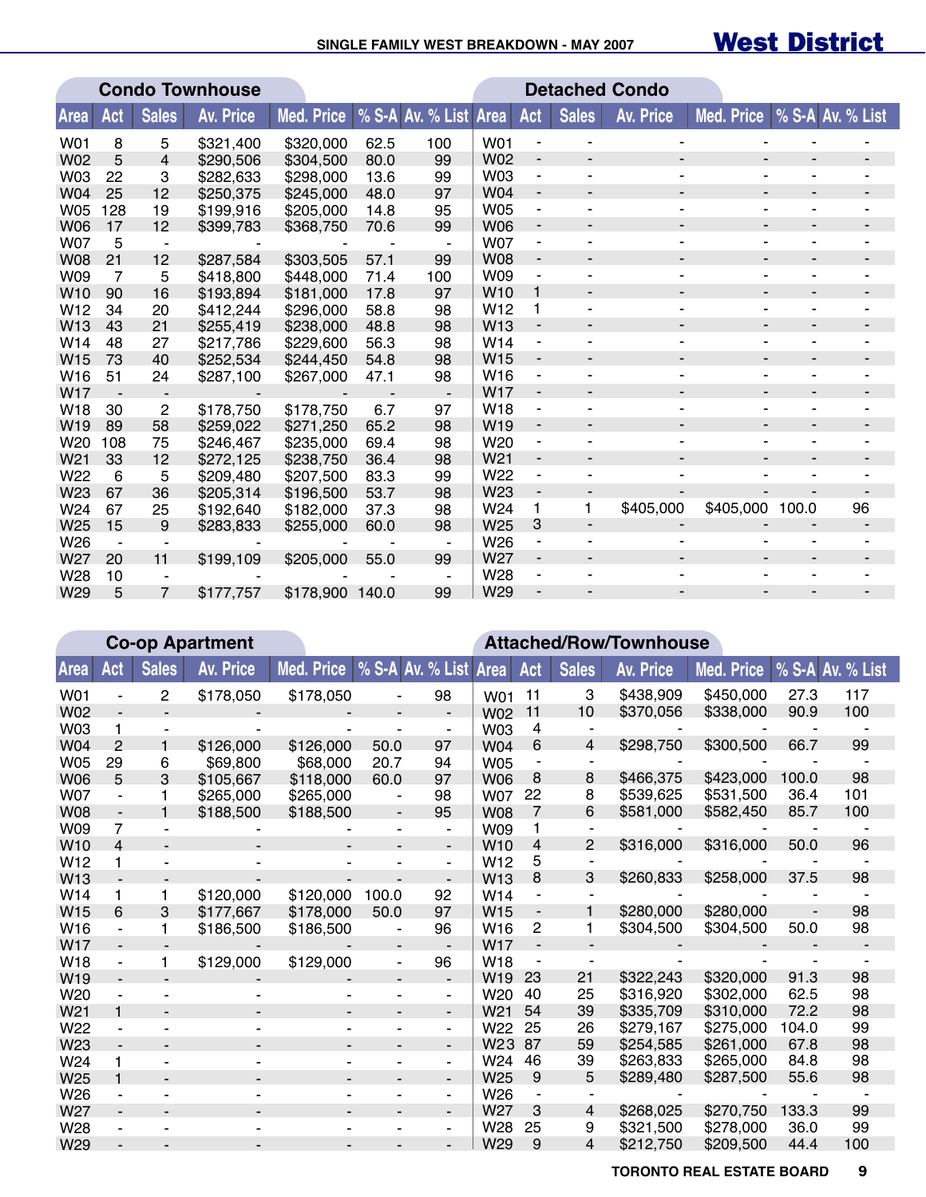## West District

|                 |     |                | <b>Condo Townhouse</b> |                 |      |                       | <b>Detached Condo</b> |                              |              |           |                          |       |                  |
|-----------------|-----|----------------|------------------------|-----------------|------|-----------------------|-----------------------|------------------------------|--------------|-----------|--------------------------|-------|------------------|
| Area            | Act | <b>Sales</b>   | <b>Av. Price</b>       | Med. Price      |      | % S-A Av. % List Area |                       | Act                          | <b>Sales</b> | Av. Price | Med. Price               |       | % S-A Av. % List |
| W01             | 8   | 5              | \$321,400              | \$320,000       | 62.5 | 100                   | <b>W01</b>            |                              |              |           |                          |       |                  |
| <b>W02</b>      | 5   | 4              | \$290,506              | \$304,500       | 80.0 | 99                    | <b>W02</b>            | $\overline{\phantom{a}}$     |              |           |                          |       |                  |
| <b>W03</b>      | 22  | 3              | \$282,633              | \$298,000       | 13.6 | 99                    | W <sub>03</sub>       | $\qquad \qquad \blacksquare$ |              |           | ۰                        |       |                  |
| <b>W04</b>      | 25  | 12             | \$250,375              | \$245,000       | 48.0 | 97                    | <b>W04</b>            | -                            |              |           | ٠                        |       |                  |
| <b>W05</b>      | 128 | 19             | \$199,916              | \$205,000       | 14.8 | 95                    | <b>W05</b>            | ٠                            |              |           |                          |       |                  |
| <b>W06</b>      | 17  | 12             | \$399,783              | \$368,750       | 70.6 | 99                    | <b>W06</b>            | $\overline{\phantom{a}}$     |              |           | $\overline{\phantom{a}}$ |       |                  |
| <b>W07</b>      | 5   |                |                        |                 |      |                       | <b>W07</b>            | $\qquad \qquad \blacksquare$ |              |           | ۰                        |       |                  |
| <b>W08</b>      | 21  | 12             | \$287,584              | \$303,505       | 57.1 | 99                    | <b>W08</b>            | -                            |              |           | $\blacksquare$           |       |                  |
| W09             | 7   | 5              | \$418,800              | \$448,000       | 71.4 | 100                   | W09                   | ٠                            |              |           | $\overline{\phantom{a}}$ |       | -                |
| W <sub>10</sub> | 90  | 16             | \$193,894              | \$181,000       | 17.8 | 97                    | W <sub>10</sub>       | 1                            |              |           | $\blacksquare$           |       |                  |
| W <sub>12</sub> | 34  | 20             | \$412,244              | \$296,000       | 58.8 | 98                    | W <sub>12</sub>       | 1                            |              |           | ۰                        |       |                  |
| W13             | 43  | 21             | \$255,419              | \$238,000       | 48.8 | 98                    | W <sub>13</sub>       | ٠                            |              |           | ٠                        |       |                  |
| W14             | 48  | 27             | \$217,786              | \$229,600       | 56.3 | 98                    | W14                   | $\qquad \qquad \blacksquare$ |              |           |                          |       |                  |
| W15             | 73  | 40             | \$252,534              | \$244,450       | 54.8 | 98                    | W <sub>15</sub>       | $\overline{\phantom{a}}$     |              | ٠         | $\overline{a}$           |       |                  |
| W16             | 51  | 24             | \$287,100              | \$267,000       | 47.1 | 98                    | W <sub>16</sub>       | $\overline{\phantom{a}}$     |              |           | ٠                        |       |                  |
| W17             |     |                |                        |                 |      |                       | <b>W17</b>            | $\qquad \qquad \blacksquare$ |              |           | $\overline{a}$           |       |                  |
| W18             | 30  | $\overline{c}$ | \$178,750              | \$178,750       | 6.7  | 97                    | W <sub>18</sub>       | $\qquad \qquad \blacksquare$ |              |           | ۰                        |       |                  |
| W <sub>19</sub> | 89  | 58             | \$259,022              | \$271,250       | 65.2 | 98                    | W <sub>19</sub>       | $\overline{\phantom{m}}$     |              | ٠         | $\overline{\phantom{a}}$ |       |                  |
| W20             | 108 | 75             | \$246,467              | \$235,000       | 69.4 | 98                    | W <sub>20</sub>       |                              |              |           |                          |       |                  |
| W <sub>21</sub> | 33  | 12             | \$272,125              | \$238,750       | 36.4 | 98                    | W <sub>21</sub>       | -                            |              |           | $\blacksquare$           |       |                  |
| W22             | 6   | 5              | \$209,480              | \$207,500       | 83.3 | 99                    | W22                   | $\qquad \qquad \blacksquare$ |              |           |                          |       |                  |
| W23             | 67  | 36             | \$205,314              | \$196,500       | 53.7 | 98                    | W <sub>23</sub>       | $\qquad \qquad \blacksquare$ |              |           |                          |       |                  |
| W24             | 67  | 25             | \$192,640              | \$182,000       | 37.3 | 98                    | W24                   | 1                            | 1            | \$405,000 | \$405,000                | 100.0 | 96               |
| W <sub>25</sub> | 15  | 9              | \$283,833              | \$255,000       | 60.0 | 98                    | W25                   | 3                            | ٠            |           |                          |       |                  |
| W26             |     |                |                        |                 |      | ٠                     | W26                   | $\qquad \qquad \blacksquare$ |              |           |                          |       |                  |
| W27             | 20  | 11             | \$199,109              | \$205,000       | 55.0 | 99                    | W <sub>27</sub>       | $\overline{\phantom{a}}$     |              |           |                          |       |                  |
| W28             | 10  |                |                        |                 |      |                       | W28                   | ۰                            |              |           |                          |       |                  |
| W29             | 5   | $\overline{7}$ | \$177,757              | \$178,900 140.0 |      | 99                    | W29                   |                              |              |           |                          |       |                  |

|                 |                |              | <b>Co-op Apartment</b> |                   | <b>Attached/Row/Townhouse</b> |    |                 |                          |              |                  |                   |       |                  |  |  |
|-----------------|----------------|--------------|------------------------|-------------------|-------------------------------|----|-----------------|--------------------------|--------------|------------------|-------------------|-------|------------------|--|--|
| <b>Area</b>     | Act            | <b>Sales</b> | <b>Av. Price</b>       | <b>Med. Price</b> | │% S-A Av. % List Area        |    |                 | Act                      | <b>Sales</b> | <b>Av. Price</b> | <b>Med. Price</b> |       | % S-A Av. % List |  |  |
| W01             |                | 2            | \$178,050              | \$178,050         |                               | 98 | W01             | 11                       | 3            | \$438,909        | \$450,000         | 27.3  | 117              |  |  |
| <b>W02</b>      |                |              |                        |                   |                               |    | <b>W02</b>      | 11                       | 10           | \$370,056        | \$338,000         | 90.9  | 100              |  |  |
| <b>W03</b>      | 1              |              |                        |                   |                               |    | W03             | 4                        |              |                  |                   |       |                  |  |  |
| <b>W04</b>      | 2              |              | \$126,000              | \$126,000         | 50.0                          | 97 | W04             | 6                        | 4            | \$298,750        | \$300,500         | 66.7  | 99               |  |  |
| <b>W05</b>      | 29             | 6            | \$69,800               | \$68,000          | 20.7                          | 94 | <b>W05</b>      |                          |              |                  |                   |       |                  |  |  |
| <b>W06</b>      | 5              | 3            | \$105,667              | \$118,000         | 60.0                          | 97 | <b>W06</b>      | 8                        | 8            | \$466,375        | \$423,000         | 100.0 | 98               |  |  |
| <b>W07</b>      | -              |              | \$265,000              | \$265,000         | $\blacksquare$                | 98 | <b>W07</b>      | 22                       | 8            | \$539,625        | \$531,500         | 36.4  | 101              |  |  |
| <b>W08</b>      |                |              | \$188,500              | \$188,500         | $\overline{\phantom{a}}$      | 95 | <b>W08</b>      | $\overline{7}$           | 6            | \$581,000        | \$582,450         | 85.7  | 100              |  |  |
| W09             | 7              |              |                        |                   | ٠                             | ۰  | W09             |                          |              |                  |                   |       |                  |  |  |
| W <sub>10</sub> | 4              |              |                        |                   |                               |    | W <sub>10</sub> | 4                        | 2            | \$316,000        | \$316,000         | 50.0  | 96               |  |  |
| W <sub>12</sub> | 1              |              |                        |                   |                               |    | W <sub>12</sub> | 5                        |              |                  |                   |       |                  |  |  |
| W13             |                |              |                        |                   |                               |    | W <sub>13</sub> | 8                        | 3            | \$260,833        | \$258,000         | 37.5  | 98               |  |  |
| W14             | 1              | 1            | \$120,000              | \$120,000         | 100.0                         | 92 | W14             | ä,                       |              |                  |                   |       |                  |  |  |
| W <sub>15</sub> | 6              | 3            | \$177,667              | \$178,000         | 50.0                          | 97 | W <sub>15</sub> | $\overline{\phantom{a}}$ | 1            | \$280,000        | \$280,000         |       | 98               |  |  |
| W16             | $\blacksquare$ | 1            | \$186,500              | \$186,500         | $\overline{\phantom{a}}$      | 96 | W <sub>16</sub> | 2                        | 1            | \$304,500        | \$304,500         | 50.0  | 98               |  |  |
| W <sub>17</sub> |                |              |                        |                   |                               |    | <b>W17</b>      | $\blacksquare$           |              |                  |                   |       |                  |  |  |
| W18             |                | 1            | \$129,000              | \$129,000         | $\blacksquare$                | 96 | W18             |                          |              |                  |                   |       |                  |  |  |
| W19             |                |              |                        |                   |                               |    | W <sub>19</sub> | 23                       | 21           | \$322,243        | \$320,000         | 91.3  | 98               |  |  |
| W <sub>20</sub> |                |              |                        |                   |                               | ۰  | W <sub>20</sub> | 40                       | 25           | \$316,920        | \$302,000         | 62.5  | 98               |  |  |
| W <sub>21</sub> | $\blacksquare$ |              |                        |                   | $\overline{\phantom{a}}$      | -  | W <sub>21</sub> | 54                       | 39           | \$335,709        | \$310,000         | 72.2  | 98               |  |  |
| W22             | ۰              |              |                        |                   |                               | ۰. | W22             | 25                       | 26           | \$279,167        | \$275,000         | 104.0 | 99               |  |  |
| W23             |                |              |                        |                   |                               | ۰. | W <sub>23</sub> | 87                       | 59           | \$254,585        | \$261,000         | 67.8  | 98               |  |  |
| W <sub>24</sub> | 1              |              |                        |                   |                               | ٠  | W24             | 46                       | 39           | \$263,833        | \$265,000         | 84.8  | 98               |  |  |
| W <sub>25</sub> | 1              |              |                        |                   |                               | -  | W <sub>25</sub> | 9                        | 5            | \$289,480        | \$287,500         | 55.6  | 98               |  |  |
| W26             |                |              |                        |                   |                               | ۰  | W26             |                          |              |                  |                   |       |                  |  |  |
| W <sub>27</sub> |                |              |                        |                   |                               | ٠  | W27             | 3                        | 4            | \$268,025        | \$270,750         | 133.3 | 99               |  |  |
| W28             | ٠              |              |                        |                   |                               | ۰  | W28             | 25                       | 9            | \$321,500        | \$278,000         | 36.0  | 99               |  |  |
| W29             |                |              |                        |                   |                               |    | W29             | 9                        | 4            | \$212,750        | \$209,500         | 44.4  | 100              |  |  |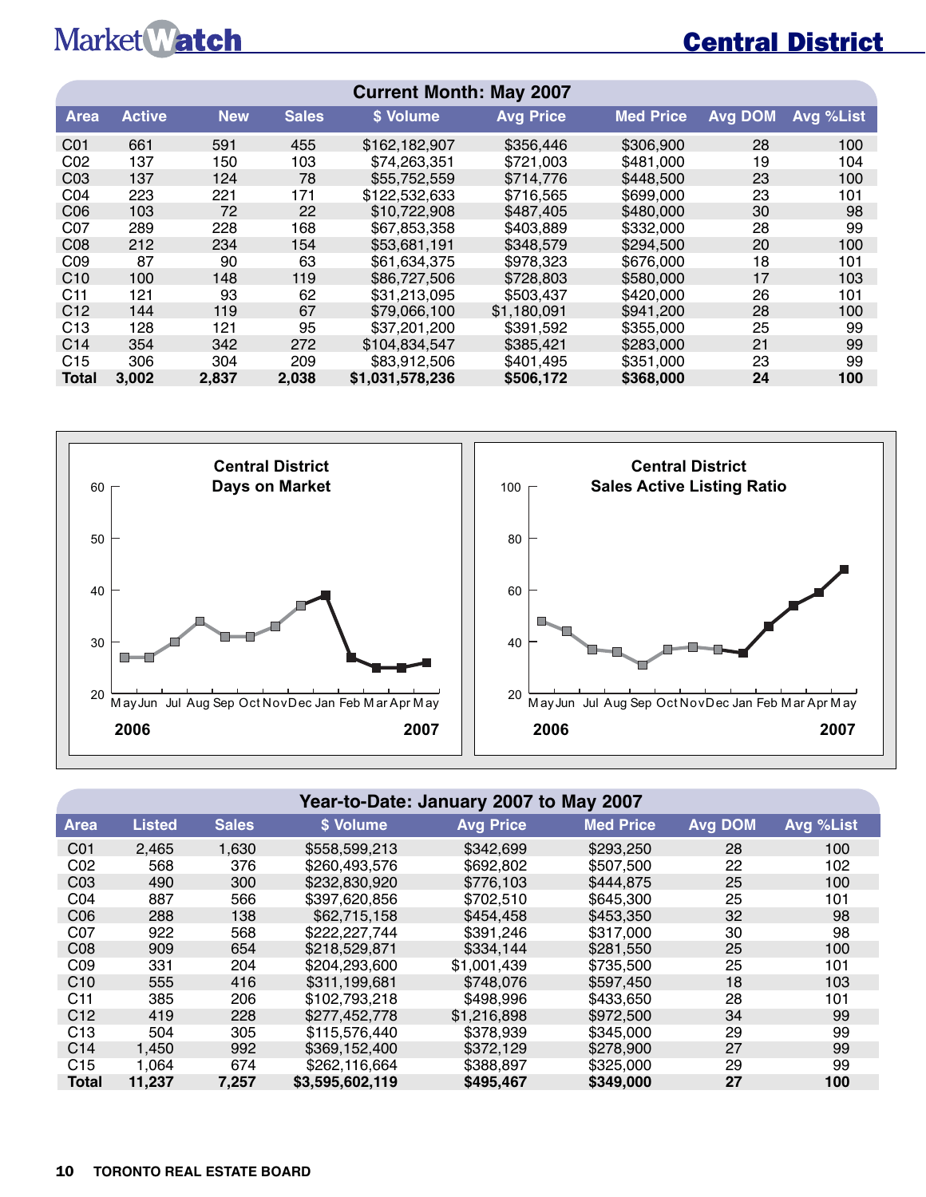## Market Watch

## Central District

| <b>Current Month: May 2007</b> |               |            |              |                 |                  |                  |                |           |  |  |  |  |
|--------------------------------|---------------|------------|--------------|-----------------|------------------|------------------|----------------|-----------|--|--|--|--|
| <b>Area</b>                    | <b>Active</b> | <b>New</b> | <b>Sales</b> | \$ Volume       | <b>Avg Price</b> | <b>Med Price</b> | <b>Avg DOM</b> | Avg %List |  |  |  |  |
| CO <sub>1</sub>                | 661           | 591        | 455          | \$162,182,907   | \$356,446        | \$306,900        | 28             | 100       |  |  |  |  |
| CO <sub>2</sub>                | 137           | 150        | 103          | \$74,263,351    | \$721,003        | \$481,000        | 19             | 104       |  |  |  |  |
| CO <sub>3</sub>                | 137           | 124        | 78           | \$55,752,559    | \$714,776        | \$448,500        | 23             | 100       |  |  |  |  |
| CO <sub>4</sub>                | 223           | 221        | 171          | \$122,532,633   | \$716,565        | \$699,000        | 23             | 101       |  |  |  |  |
| C <sub>06</sub>                | 103           | 72         | 22           | \$10,722,908    | \$487,405        | \$480,000        | 30             | 98        |  |  |  |  |
| CO <sub>7</sub>                | 289           | 228        | 168          | \$67,853,358    | \$403,889        | \$332,000        | 28             | 99        |  |  |  |  |
| CO8                            | 212           | 234        | 154          | \$53,681,191    | \$348,579        | \$294,500        | 20             | 100       |  |  |  |  |
| CO9                            | 87            | 90         | 63           | \$61,634,375    | \$978.323        | \$676,000        | 18             | 101       |  |  |  |  |
| C10                            | 100           | 148        | 119          | \$86,727,506    | \$728,803        | \$580,000        | 17             | 103       |  |  |  |  |
| C11                            | 121           | 93         | 62           | \$31,213,095    | \$503.437        | \$420,000        | 26             | 101       |  |  |  |  |
| C12                            | 144           | 119        | 67           | \$79,066,100    | \$1.180,091      | \$941,200        | 28             | 100       |  |  |  |  |
| C <sub>13</sub>                | 128           | 121        | 95           | \$37,201,200    | \$391,592        | \$355,000        | 25             | 99        |  |  |  |  |
| C <sub>14</sub>                | 354           | 342        | 272          | \$104,834,547   | \$385.421        | \$283,000        | 21             | 99        |  |  |  |  |
| C15                            | 306           | 304        | 209          | \$83,912,506    | \$401.495        | \$351,000        | 23             | 99        |  |  |  |  |
| <b>Total</b>                   | 3.002         | 2.837      | 2,038        | \$1,031,578,236 | \$506.172        | \$368,000        | 24             | 100       |  |  |  |  |



#### **Year-to-Date: January 2007 to May 2007**

| <b>Area</b>     | <b>Listed</b> | <b>Sales</b> | \$ Volume       | <b>Avg Price</b> | <b>Med Price</b> | <b>Avg DOM</b> | Avg %List |
|-----------------|---------------|--------------|-----------------|------------------|------------------|----------------|-----------|
| CO <sub>1</sub> | 2,465         | 1,630        | \$558,599,213   | \$342,699        | \$293,250        | 28             | 100       |
| CO <sub>2</sub> | 568           | 376          | \$260,493,576   | \$692,802        | \$507,500        | 22             | 102       |
| CO <sub>3</sub> | 490           | 300          | \$232,830,920   | \$776.103        | \$444,875        | 25             | 100       |
| CO <sub>4</sub> | 887           | 566          | \$397,620,856   | \$702,510        | \$645,300        | 25             | 101       |
| C <sub>06</sub> | 288           | 138          | \$62,715,158    | \$454.458        | \$453,350        | 32             | 98        |
| CO <sub>7</sub> | 922           | 568          | \$222,227,744   | \$391.246        | \$317,000        | 30             | 98        |
| CO8             | 909           | 654          | \$218,529,871   | \$334.144        | \$281,550        | 25             | 100       |
| CO9             | 331           | 204          | \$204,293,600   | \$1,001,439      | \$735,500        | 25             | 101       |
| C10             | 555           | 416          | \$311,199,681   | \$748,076        | \$597.450        | 18             | 103       |
| C <sub>11</sub> | 385           | 206          | \$102,793,218   | \$498.996        | \$433,650        | 28             | 101       |
| C12             | 419           | 228          | \$277,452,778   | \$1,216,898      | \$972,500        | 34             | 99        |
| C <sub>13</sub> | 504           | 305          | \$115,576,440   | \$378,939        | \$345,000        | 29             | 99        |
| C <sub>14</sub> | 1,450         | 992          | \$369,152,400   | \$372.129        | \$278,900        | 27             | 99        |
| C15             | 1.064         | 674          | \$262,116,664   | \$388,897        | \$325,000        | 29             | 99        |
| <b>Total</b>    | 11,237        | 7,257        | \$3,595,602,119 | \$495,467        | \$349,000        | 27             | 100       |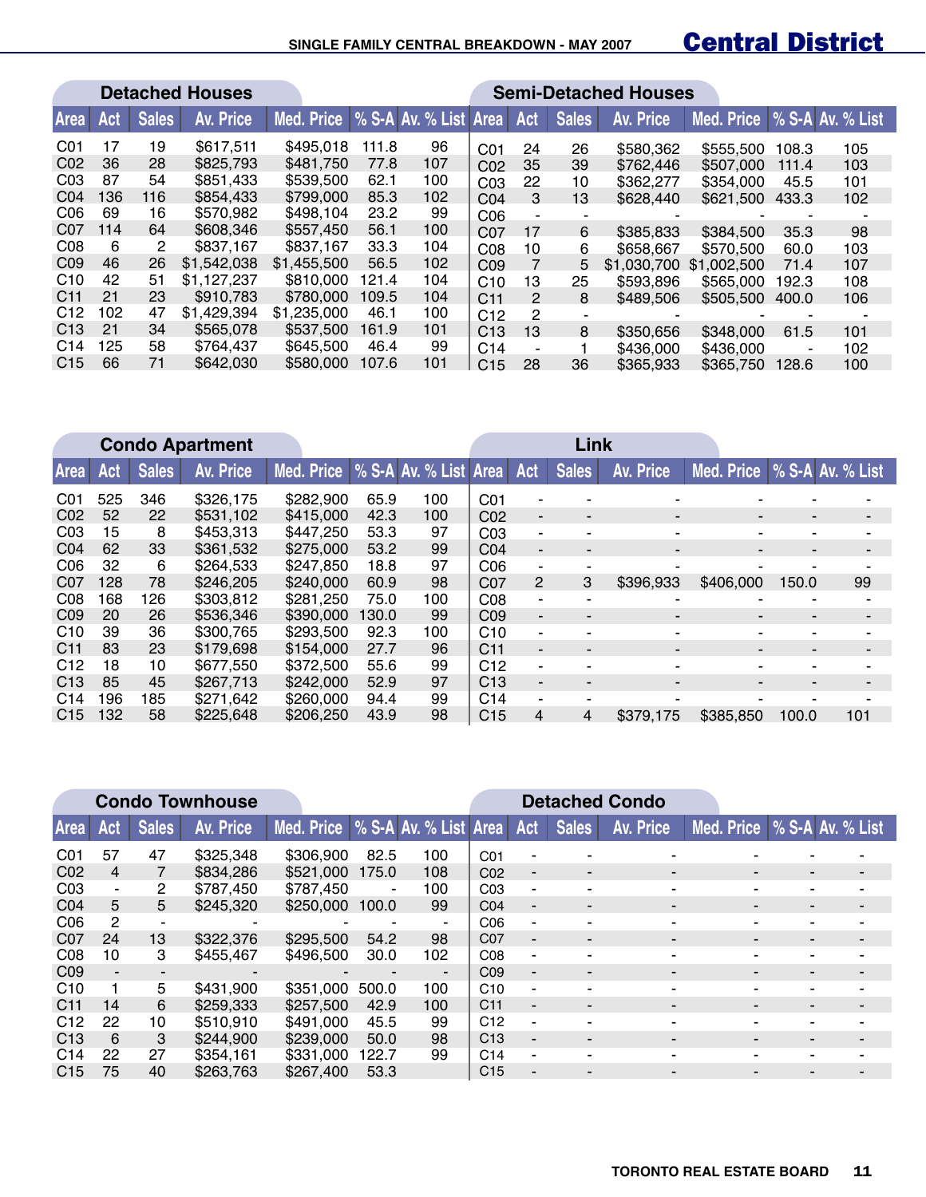#### **SINGLE FAMILY CENTRAL BREAKDOWN - MAY 2007**

## Central District

|                  | <b>Detached Houses</b> |              |             |                                    |       |     | <b>Semi-Detached Houses</b> |     |                          |             |             |       |                  |
|------------------|------------------------|--------------|-------------|------------------------------------|-------|-----|-----------------------------|-----|--------------------------|-------------|-------------|-------|------------------|
| Area             | Act                    | <b>Sales</b> | Av. Price   | Med. Price   % S-A Av. % List Area |       |     |                             | Act | <b>Sales</b>             | Av. Price   | Med. Price  |       | % S-A Av. % List |
| C <sub>0</sub> 1 | 17                     | 19           | \$617.511   | \$495,018                          | 111.8 | 96  | CO <sub>1</sub>             | 24  | 26                       | \$580,362   | \$555,500   | 108.3 | 105              |
| CO <sub>2</sub>  | 36                     | 28           | \$825,793   | \$481,750                          | 77.8  | 107 | CO <sub>2</sub>             | 35  | 39                       | \$762,446   | \$507,000   | 111.4 | 103              |
| CO <sub>3</sub>  | 87                     | 54           | \$851.433   | \$539,500                          | 62.1  | 100 | CO <sub>3</sub>             | 22  | 10                       | \$362,277   | \$354,000   | 45.5  | 101              |
| CO <sub>4</sub>  | 136                    | 116          | \$854,433   | \$799,000                          | 85.3  | 102 | C <sub>04</sub>             | 3   | 13                       | \$628,440   | \$621,500   | 433.3 | 102              |
| C <sub>06</sub>  | 69                     | 16           | \$570,982   | \$498,104                          | 23.2  | 99  | C <sub>06</sub>             |     | $\overline{\phantom{a}}$ |             |             |       |                  |
| CO <sub>7</sub>  | 114                    | 64           | \$608,346   | \$557.450                          | 56.1  | 100 | CO <sub>7</sub>             | 17  | 6                        | \$385,833   | \$384,500   | 35.3  | 98               |
| C <sub>08</sub>  | 6                      | 2            | \$837,167   | \$837,167                          | 33.3  | 104 | CO8                         | 10  | 6                        | \$658,667   | \$570,500   | 60.0  | 103              |
| CO <sub>9</sub>  | 46                     | 26           | \$1,542,038 | \$1.455,500                        | 56.5  | 102 | CO <sub>9</sub>             |     | 5                        | \$1,030,700 | \$1,002,500 | 71.4  | 107              |
| C <sub>10</sub>  | 42                     | 51           | \$1,127,237 | \$810,000                          | 121.4 | 104 | C10                         | 13  | 25                       | \$593,896   | \$565,000   | 192.3 | 108              |
| C <sub>11</sub>  | 21                     | 23           | \$910,783   | \$780,000                          | 109.5 | 104 | C <sub>11</sub>             | 2   | 8                        | \$489,506   | \$505,500   | 400.0 | 106              |
| C <sub>12</sub>  | 102                    | 47           | \$1,429,394 | \$1,235,000                        | 46.1  | 100 | C12                         | 2   |                          |             |             |       |                  |
| C <sub>13</sub>  | 21                     | 34           | \$565,078   | \$537,500                          | 161.9 | 101 | C13                         | 13  | 8                        | \$350,656   | \$348,000   | 61.5  | 101              |
| C <sub>14</sub>  | 125                    | 58           | \$764,437   | \$645,500                          | 46.4  | 99  | C <sub>14</sub>             | ٠   |                          | \$436,000   | \$436,000   | ۰     | 102              |
| C <sub>15</sub>  | 66                     | 71           | \$642,030   | \$580,000                          | 107.6 | 101 | C <sub>15</sub>             | 28  | 36                       | \$365,933   | \$365,750   | 128.6 | 100              |

|                 | <b>Condo Apartment</b> |              |           |                                          |       |     | Link            |    |                          |                          |            |       |                  |
|-----------------|------------------------|--------------|-----------|------------------------------------------|-------|-----|-----------------|----|--------------------------|--------------------------|------------|-------|------------------|
| Area            | <b>Act</b>             | <b>Sales</b> | Av. Price | Med. Price   % S-A Av. % List Area   Act |       |     |                 |    | <b>Sales</b>             | Av. Price                | Med. Price |       | % S-A Av. % List |
| C <sub>01</sub> | 525                    | 346          | \$326,175 | \$282,900                                | 65.9  | 100 | C <sub>01</sub> | ۰  |                          |                          |            |       |                  |
| CO <sub>2</sub> | 52                     | 22           | \$531,102 | \$415,000                                | 42.3  | 100 | CO <sub>2</sub> | ۰. | $\overline{\phantom{0}}$ | $\blacksquare$           | -          |       |                  |
| CO <sub>3</sub> | 15                     | 8            | \$453.313 | \$447,250                                | 53.3  | 97  | CO <sub>3</sub> | ٠  |                          |                          |            | ۰     |                  |
| CO <sub>4</sub> | 62                     | 33           | \$361.532 | \$275,000                                | 53.2  | 99  | CO <sub>4</sub> | ٠  |                          |                          |            |       |                  |
| CO6             | 32                     | 6            | \$264.533 | \$247.850                                | 18.8  | 97  | CO6             | ٠  |                          |                          |            |       |                  |
| CO <sub>7</sub> | 128                    | 78           | \$246,205 | \$240,000                                | 60.9  | 98  | C07             | 2  | 3                        | \$396,933                | \$406,000  | 150.0 | 99               |
| C <sub>08</sub> | 168                    | 126          | \$303.812 | \$281.250                                | 75.0  | 100 | CO8             | ٠  |                          |                          |            |       |                  |
| CO9             | 20                     | 26           | \$536,346 | \$390,000                                | 130.0 | 99  | C <sub>09</sub> | ٠  | $\blacksquare$           | $\overline{\phantom{a}}$ | ۰          |       |                  |
| C <sub>10</sub> | 39                     | 36           | \$300.765 | \$293,500                                | 92.3  | 100 | C10             | ٠  |                          |                          |            |       |                  |
| C <sub>11</sub> | 83                     | 23           | \$179.698 | \$154,000                                | 27.7  | 96  | C <sub>11</sub> | ٠  |                          |                          |            |       |                  |
| C12             | 18                     | 10           | \$677,550 | \$372,500                                | 55.6  | 99  | C12             | ٠  |                          |                          |            |       |                  |
| C <sub>13</sub> | 85                     | 45           | \$267,713 | \$242,000                                | 52.9  | 97  | C13             | ۰. |                          | $\overline{\phantom{a}}$ |            |       |                  |
| C <sub>14</sub> | 196                    | 185          | \$271.642 | \$260,000                                | 94.4  | 99  | C <sub>14</sub> | ٠  |                          |                          |            |       |                  |
| C <sub>15</sub> | 132                    | 58           | \$225,648 | \$206,250                                | 43.9  | 98  | C <sub>15</sub> | 4  | 4                        | \$379,175                | \$385,850  | 100.0 | 101              |

|                  |                |              | <b>Condo Townhouse</b> |                                    |                          |                          | <b>Detached Condo</b> |                          |                |                          |                             |                          |                          |
|------------------|----------------|--------------|------------------------|------------------------------------|--------------------------|--------------------------|-----------------------|--------------------------|----------------|--------------------------|-----------------------------|--------------------------|--------------------------|
| <b>Area</b>      | Act            | <b>Sales</b> | Av. Price              | Med. Price   % S-A Av. % List Area |                          |                          |                       | Act                      | <b>Sales</b>   | Av. Price                | Med. Price % S-A Av. % List |                          |                          |
| C <sub>0</sub> 1 | 57             | 47           | \$325,348              | \$306,900                          | 82.5                     | 100                      | CO <sub>1</sub>       |                          |                |                          |                             |                          |                          |
| CO <sub>2</sub>  | $\overline{4}$ |              | \$834,286              | \$521,000                          | 175.0                    | 108                      | C <sub>02</sub>       | $\blacksquare$           |                | $\blacksquare$           |                             |                          |                          |
| CO <sub>3</sub>  | $\sim$         | 2            | \$787.450              | \$787,450                          | $\blacksquare$           | 100                      | CO <sub>3</sub>       | ٠                        |                | ۰                        |                             |                          |                          |
| CO <sub>4</sub>  | 5              | 5            | \$245,320              | \$250,000                          | 100.0                    | 99                       | CO <sub>4</sub>       | $\overline{\phantom{a}}$ | ۰              | $\blacksquare$           | $\overline{\phantom{a}}$    | $\overline{\phantom{a}}$ | $\overline{\phantom{0}}$ |
| C <sub>06</sub>  | 2              | -            | $\blacksquare$         | $\blacksquare$                     | ۰                        | $\blacksquare$           | C <sub>06</sub>       | ٠                        |                |                          |                             |                          |                          |
| CO <sub>7</sub>  | 24             | 13           | \$322,376              | \$295,500                          | 54.2                     | 98                       | CO <sub>7</sub>       | Ξ.                       |                | $\blacksquare$           | $\overline{\phantom{0}}$    |                          |                          |
| CO8              | 10             | 3            | \$455.467              | \$496,500                          | 30.0                     | 102                      | CO8                   | ۰                        |                | ۰                        |                             |                          |                          |
| CO9              | ۰.             | -            |                        | $\blacksquare$                     | $\overline{\phantom{a}}$ | $\overline{\phantom{a}}$ | CO9                   | $\overline{a}$           | $\blacksquare$ | $\overline{\phantom{a}}$ |                             |                          |                          |
| C10              |                | 5            | \$431,900              | \$351,000                          | 500.0                    | 100                      | C10                   | ٠                        | $\blacksquare$ | ۰                        |                             | ٠                        |                          |
| C <sub>11</sub>  | 14             | 6            | \$259,333              | \$257,500                          | 42.9                     | 100                      | C <sub>11</sub>       | Ξ.                       |                | $\overline{\phantom{a}}$ |                             |                          |                          |
| C12              | 22             | 10           | \$510.910              | \$491,000                          | 45.5                     | 99                       | C12                   | ٠                        |                | $\overline{\phantom{0}}$ |                             |                          |                          |
| C <sub>13</sub>  | 6              | 3            | \$244,900              | \$239,000                          | 50.0                     | 98                       | C <sub>13</sub>       | $\blacksquare$           | $\blacksquare$ | $\overline{\phantom{a}}$ |                             |                          |                          |
| C <sub>14</sub>  | 22             | 27           | \$354,161              | \$331,000                          | 122.7                    | 99                       | C <sub>14</sub>       | ٠                        | ۰              | ۰                        |                             |                          |                          |
| C <sub>15</sub>  | 75             | 40           | \$263.763              | \$267,400                          | 53.3                     |                          | C <sub>15</sub>       |                          |                | $\overline{\phantom{a}}$ |                             |                          |                          |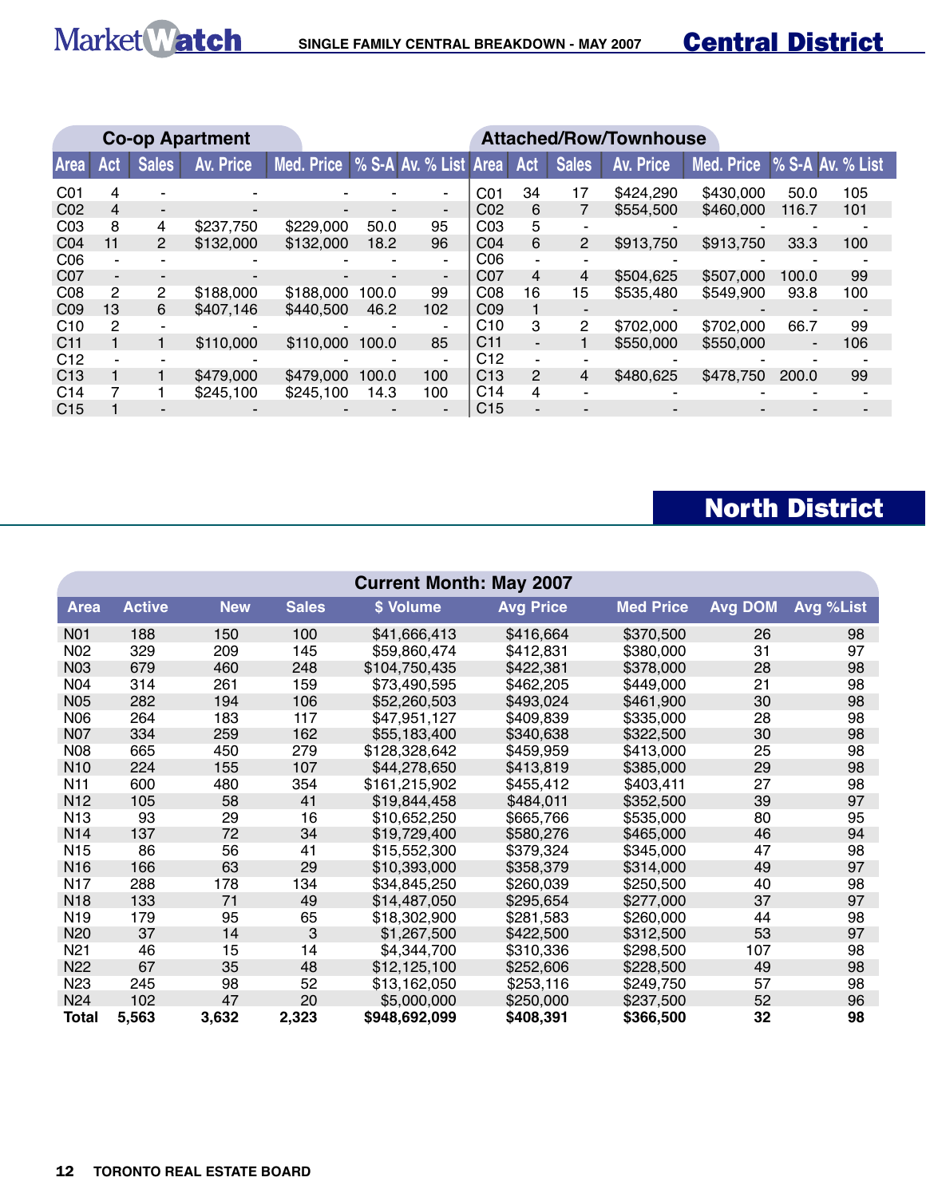|                 |     |              | <b>Co-op Apartment</b> |                                    | <b>Attached/Row/Townhouse</b> |                          |                 |                          |                          |           |            |       |                  |
|-----------------|-----|--------------|------------------------|------------------------------------|-------------------------------|--------------------------|-----------------|--------------------------|--------------------------|-----------|------------|-------|------------------|
| <b>Area</b>     | Act | <b>Sales</b> | Av. Price              | Med. Price   % S-A Av. % List Area |                               |                          |                 | Act                      | <b>Sales</b>             | Av. Price | Med. Price |       | % S-A Av. % List |
| C01             | 4   |              |                        |                                    |                               |                          | CO <sub>1</sub> | 34                       | 17                       | \$424,290 | \$430,000  | 50.0  | 105              |
| CO <sub>2</sub> | 4   |              |                        |                                    |                               | $\overline{\phantom{0}}$ | CO <sub>2</sub> | 6                        |                          | \$554,500 | \$460,000  | 116.7 | 101              |
| CO <sub>3</sub> | 8   | 4            | \$237,750              | \$229,000                          | 50.0                          | 95                       | CO <sub>3</sub> | 5                        |                          |           |            |       |                  |
| CO <sub>4</sub> | 11  | $\mathbf{2}$ | \$132,000              | \$132,000                          | 18.2                          | 96                       | CO <sub>4</sub> | 6                        | 2                        | \$913,750 | \$913,750  | 33.3  | 100              |
| CO6             |     |              |                        |                                    |                               | $\blacksquare$           | C <sub>06</sub> |                          |                          |           |            |       |                  |
| CO <sub>7</sub> | -   |              |                        |                                    |                               | $\overline{\phantom{a}}$ | CO <sub>7</sub> | 4                        | 4                        | \$504,625 | \$507,000  | 100.0 | 99               |
| CO8             | 2   | 2            | \$188,000              | \$188,000                          | 100.0                         | 99                       | CO8             | 16                       | 15                       | \$535,480 | \$549,900  | 93.8  | 100              |
| CO9             | 13  | 6            | \$407.146              | \$440,500                          | 46.2                          | 102                      | CO9             |                          |                          |           |            |       |                  |
| C <sub>10</sub> | 2   |              |                        |                                    |                               |                          | C <sub>10</sub> | 3                        | 2                        | \$702,000 | \$702,000  | 66.7  | 99               |
| C <sub>11</sub> |     |              | \$110,000              | \$110,000                          | 100.0                         | 85                       | C <sub>11</sub> | $\overline{\phantom{0}}$ |                          | \$550,000 | \$550,000  |       | 106              |
| C <sub>12</sub> |     |              |                        |                                    |                               | $\blacksquare$           | C <sub>12</sub> |                          |                          |           |            |       |                  |
| C13             |     |              | \$479,000              | \$479,000                          | 100.0                         | 100                      | C <sub>13</sub> | $\overline{2}$           | 4                        | \$480,625 | \$478,750  | 200.0 | 99               |
| C <sub>14</sub> |     |              | \$245.100              | \$245.100                          | 14.3                          | 100                      | C <sub>14</sub> | 4                        | $\overline{\phantom{0}}$ |           |            |       |                  |
| C <sub>15</sub> |     |              |                        |                                    |                               |                          | C <sub>15</sub> |                          |                          |           |            |       |                  |

## North District

| <b>Current Month: May 2007</b> |               |            |              |               |                  |                  |                |           |  |  |  |  |
|--------------------------------|---------------|------------|--------------|---------------|------------------|------------------|----------------|-----------|--|--|--|--|
| <b>Area</b>                    | <b>Active</b> | <b>New</b> | <b>Sales</b> | \$ Volume     | <b>Avg Price</b> | <b>Med Price</b> | <b>Avg DOM</b> | Avg %List |  |  |  |  |
| N01                            | 188           | 150        | 100          | \$41,666,413  | \$416,664        | \$370,500        | 26             | 98        |  |  |  |  |
| N02                            | 329           | 209        | 145          | \$59,860,474  | \$412,831        | \$380,000        | 31             | 97        |  |  |  |  |
| <b>N03</b>                     | 679           | 460        | 248          | \$104,750,435 | \$422,381        | \$378,000        | 28             | 98        |  |  |  |  |
| N04                            | 314           | 261        | 159          | \$73,490,595  | \$462,205        | \$449,000        | 21             | 98        |  |  |  |  |
| <b>N05</b>                     | 282           | 194        | 106          | \$52,260,503  | \$493,024        | \$461,900        | 30             | 98        |  |  |  |  |
| <b>N06</b>                     | 264           | 183        | 117          | \$47,951,127  | \$409,839        | \$335,000        | 28             | 98        |  |  |  |  |
| N07                            | 334           | 259        | 162          | \$55,183,400  | \$340,638        | \$322,500        | 30             | 98        |  |  |  |  |
| <b>N08</b>                     | 665           | 450        | 279          | \$128,328,642 | \$459,959        | \$413,000        | 25             | 98        |  |  |  |  |
| N <sub>10</sub>                | 224           | 155        | 107          | \$44,278,650  | \$413,819        | \$385,000        | 29             | 98        |  |  |  |  |
| N <sub>11</sub>                | 600           | 480        | 354          | \$161,215,902 | \$455,412        | \$403,411        | 27             | 98        |  |  |  |  |
| N <sub>12</sub>                | 105           | 58         | 41           | \$19,844,458  | \$484,011        | \$352,500        | 39             | 97        |  |  |  |  |
| N <sub>13</sub>                | 93            | 29         | 16           | \$10,652,250  | \$665,766        | \$535,000        | 80             | 95        |  |  |  |  |
| N <sub>14</sub>                | 137           | 72         | 34           | \$19,729,400  | \$580,276        | \$465,000        | 46             | 94        |  |  |  |  |
| N <sub>15</sub>                | 86            | 56         | 41           | \$15,552,300  | \$379,324        | \$345,000        | 47             | 98        |  |  |  |  |
| N <sub>16</sub>                | 166           | 63         | 29           | \$10,393,000  | \$358,379        | \$314,000        | 49             | 97        |  |  |  |  |
| N17                            | 288           | 178        | 134          | \$34,845,250  | \$260,039        | \$250,500        | 40             | 98        |  |  |  |  |
| N <sub>18</sub>                | 133           | 71         | 49           | \$14,487,050  | \$295,654        | \$277,000        | 37             | 97        |  |  |  |  |
| N <sub>19</sub>                | 179           | 95         | 65           | \$18,302,900  | \$281,583        | \$260,000        | 44             | 98        |  |  |  |  |
| N <sub>20</sub>                | 37            | 14         | 3            | \$1,267,500   | \$422,500        | \$312,500        | 53             | 97        |  |  |  |  |
| N <sub>21</sub>                | 46            | 15         | 14           | \$4,344,700   | \$310,336        | \$298,500        | 107            | 98        |  |  |  |  |
| N22                            | 67            | 35         | 48           | \$12,125,100  | \$252,606        | \$228,500        | 49             | 98        |  |  |  |  |
| N <sub>23</sub>                | 245           | 98         | 52           | \$13,162,050  | \$253,116        | \$249,750        | 57             | 98        |  |  |  |  |
| N24                            | 102           | 47         | 20           | \$5,000,000   | \$250,000        | \$237,500        | 52             | 96        |  |  |  |  |
| Total                          | 5,563         | 3,632      | 2,323        | \$948,692,099 | \$408,391        | \$366,500        | 32             | 98        |  |  |  |  |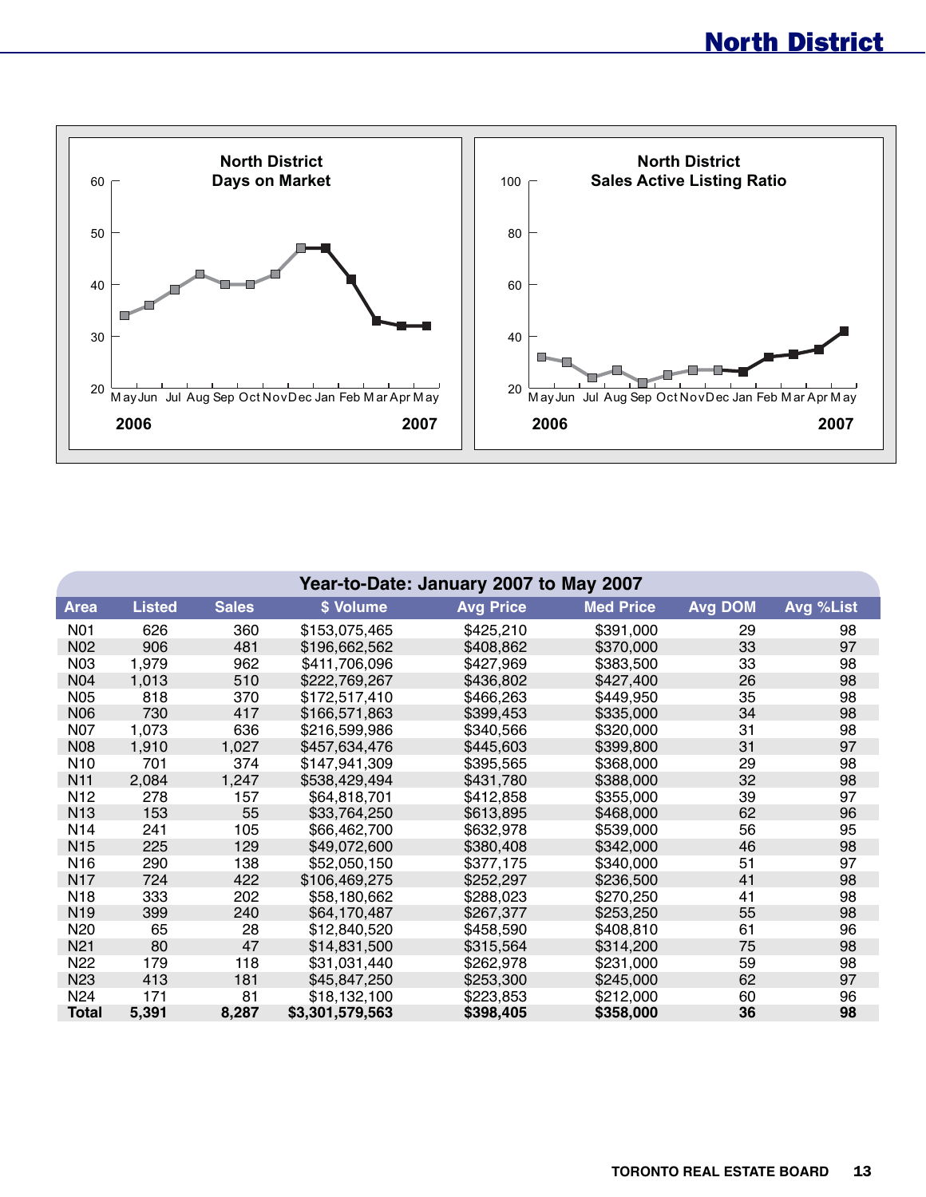

|                 | Year-to-Date: January 2007 to May 2007 |              |                 |                  |                  |                |           |  |  |  |  |  |  |
|-----------------|----------------------------------------|--------------|-----------------|------------------|------------------|----------------|-----------|--|--|--|--|--|--|
| Area            | <b>Listed</b>                          | <b>Sales</b> | \$ Volume       | <b>Avg Price</b> | <b>Med Price</b> | <b>Avg DOM</b> | Avg %List |  |  |  |  |  |  |
| N01             | 626                                    | 360          | \$153,075,465   | \$425,210        | \$391,000        | 29             | 98        |  |  |  |  |  |  |
| N <sub>02</sub> | 906                                    | 481          | \$196,662,562   | \$408,862        | \$370,000        | 33             | 97        |  |  |  |  |  |  |
| N <sub>03</sub> | 1,979                                  | 962          | \$411,706,096   | \$427,969        | \$383,500        | 33             | 98        |  |  |  |  |  |  |
| <b>N04</b>      | 1,013                                  | 510          | \$222,769,267   | \$436,802        | \$427,400        | 26             | 98        |  |  |  |  |  |  |
| <b>N05</b>      | 818                                    | 370          | \$172,517,410   | \$466,263        | \$449,950        | 35             | 98        |  |  |  |  |  |  |
| <b>N06</b>      | 730                                    | 417          | \$166,571,863   | \$399,453        | \$335,000        | 34             | 98        |  |  |  |  |  |  |
| N07             | 1,073                                  | 636          | \$216,599,986   | \$340,566        | \$320,000        | 31             | 98        |  |  |  |  |  |  |
| <b>N08</b>      | 1,910                                  | 1,027        | \$457,634,476   | \$445,603        | \$399,800        | 31             | 97        |  |  |  |  |  |  |
| N <sub>10</sub> | 701                                    | 374          | \$147,941,309   | \$395,565        | \$368,000        | 29             | 98        |  |  |  |  |  |  |
| N <sub>11</sub> | 2,084                                  | 1,247        | \$538,429,494   | \$431,780        | \$388,000        | 32             | 98        |  |  |  |  |  |  |
| N <sub>12</sub> | 278                                    | 157          | \$64,818,701    | \$412,858        | \$355,000        | 39             | 97        |  |  |  |  |  |  |
| N <sub>13</sub> | 153                                    | 55           | \$33,764,250    | \$613,895        | \$468,000        | 62             | 96        |  |  |  |  |  |  |
| N <sub>14</sub> | 241                                    | 105          | \$66,462,700    | \$632,978        | \$539,000        | 56             | 95        |  |  |  |  |  |  |
| N <sub>15</sub> | 225                                    | 129          | \$49,072,600    | \$380,408        | \$342,000        | 46             | 98        |  |  |  |  |  |  |
| N <sub>16</sub> | 290                                    | 138          | \$52,050,150    | \$377,175        | \$340,000        | 51             | 97        |  |  |  |  |  |  |
| N <sub>17</sub> | 724                                    | 422          | \$106,469,275   | \$252,297        | \$236,500        | 41             | 98        |  |  |  |  |  |  |
| N <sub>18</sub> | 333                                    | 202          | \$58,180,662    | \$288,023        | \$270,250        | 41             | 98        |  |  |  |  |  |  |
| N <sub>19</sub> | 399                                    | 240          | \$64,170,487    | \$267,377        | \$253,250        | 55             | 98        |  |  |  |  |  |  |
| N <sub>20</sub> | 65                                     | 28           | \$12,840,520    | \$458,590        | \$408,810        | 61             | 96        |  |  |  |  |  |  |
| N <sub>21</sub> | 80                                     | 47           | \$14,831,500    | \$315,564        | \$314,200        | 75             | 98        |  |  |  |  |  |  |
| N <sub>22</sub> | 179                                    | 118          | \$31,031,440    | \$262,978        | \$231,000        | 59             | 98        |  |  |  |  |  |  |
| N <sub>23</sub> | 413                                    | 181          | \$45,847,250    | \$253,300        | \$245,000        | 62             | 97        |  |  |  |  |  |  |
| N <sub>24</sub> | 171                                    | 81           | \$18,132,100    | \$223,853        | \$212,000        | 60             | 96        |  |  |  |  |  |  |
| <b>Total</b>    | 5,391                                  | 8,287        | \$3,301,579,563 | \$398,405        | \$358,000        | 36             | 98        |  |  |  |  |  |  |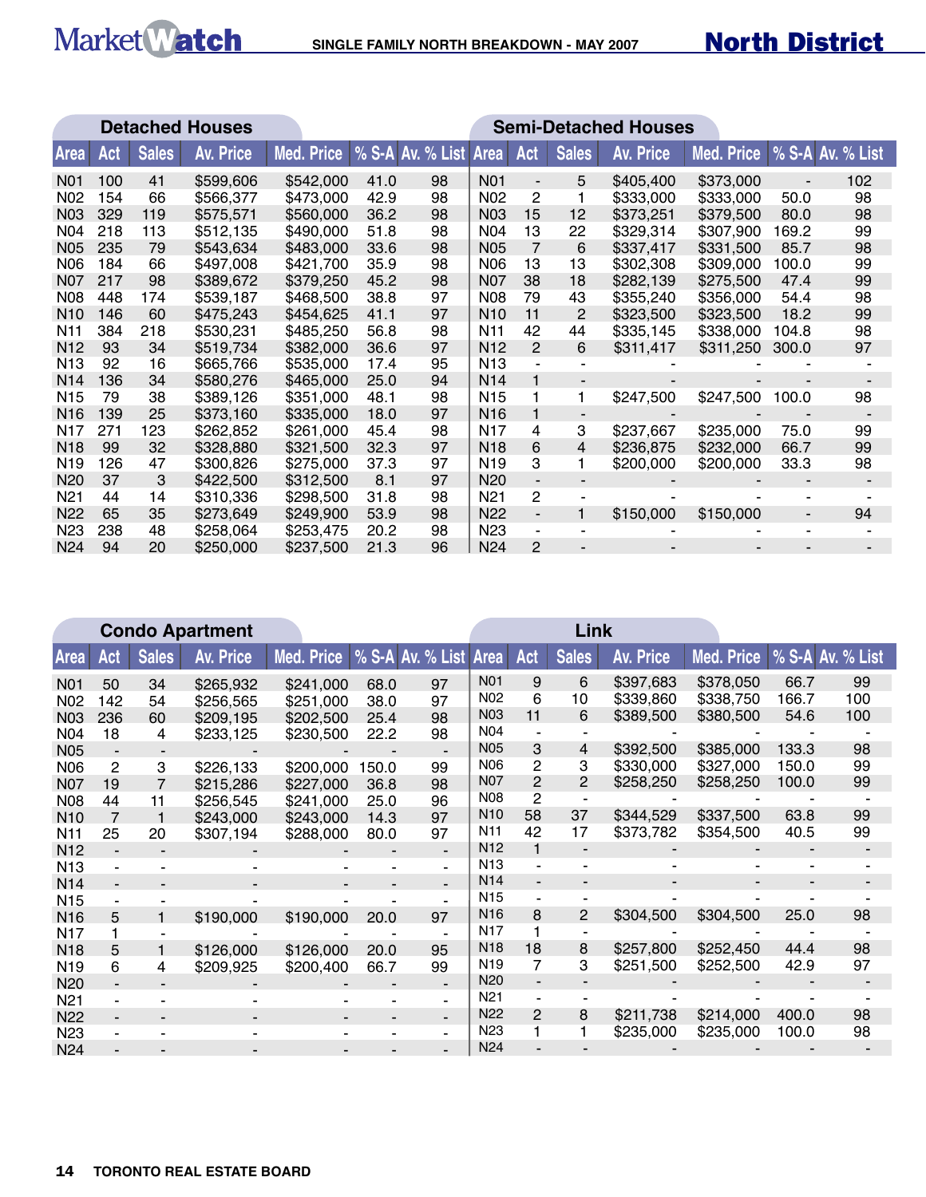|                  |     |              | <b>Detached Houses</b> | <b>Semi-Detached Houses</b> |      |                  |                 |                          |                          |           |            |                          |                  |
|------------------|-----|--------------|------------------------|-----------------------------|------|------------------|-----------------|--------------------------|--------------------------|-----------|------------|--------------------------|------------------|
| <b>Area</b>      | Act | <b>Sales</b> | Av. Price              | Med. Price                  |      | % S-A Av. % List | Area Act        |                          | <b>Sales</b>             | Av. Price | Med. Price |                          | % S-A Av. % List |
| N <sub>0</sub> 1 | 100 | 41           | \$599,606              | \$542,000                   | 41.0 | 98               | <b>N01</b>      | $\overline{\phantom{a}}$ | 5                        | \$405,400 | \$373,000  |                          | 102              |
| N <sub>02</sub>  | 154 | 66           | \$566,377              | \$473,000                   | 42.9 | 98               | N <sub>02</sub> | $\overline{c}$           | 1                        | \$333,000 | \$333,000  | 50.0                     | 98               |
| N03              | 329 | 119          | \$575,571              | \$560,000                   | 36.2 | 98               | <b>N03</b>      | 15                       | 12                       | \$373,251 | \$379,500  | 80.0                     | 98               |
| N04              | 218 | 113          | \$512,135              | \$490,000                   | 51.8 | 98               | N04             | 13                       | 22                       | \$329,314 | \$307,900  | 169.2                    | 99               |
| <b>N05</b>       | 235 | 79           | \$543,634              | \$483,000                   | 33.6 | 98               | <b>N05</b>      | 7                        | 6                        | \$337,417 | \$331,500  | 85.7                     | 98               |
| <b>N06</b>       | 184 | 66           | \$497,008              | \$421,700                   | 35.9 | 98               | <b>N06</b>      | 13                       | 13                       | \$302,308 | \$309,000  | 100.0                    | 99               |
| <b>N07</b>       | 217 | 98           | \$389,672              | \$379,250                   | 45.2 | 98               | N07             | 38                       | 18                       | \$282,139 | \$275,500  | 47.4                     | 99               |
| N08              | 448 | 174          | \$539,187              | \$468,500                   | 38.8 | 97               | <b>N08</b>      | 79                       | 43                       | \$355,240 | \$356,000  | 54.4                     | 98               |
| N <sub>10</sub>  | 146 | 60           | \$475,243              | \$454,625                   | 41.1 | 97               | N <sub>10</sub> | 11                       | $\overline{2}$           | \$323,500 | \$323,500  | 18.2                     | 99               |
| N <sub>11</sub>  | 384 | 218          | \$530,231              | \$485,250                   | 56.8 | 98               | N <sub>11</sub> | 42                       | 44                       | \$335,145 | \$338,000  | 104.8                    | 98               |
| N <sub>12</sub>  | 93  | 34           | \$519,734              | \$382,000                   | 36.6 | 97               | N <sub>12</sub> | $\overline{2}$           | 6                        | \$311,417 | \$311,250  | 300.0                    | 97               |
| N <sub>13</sub>  | 92  | 16           | \$665,766              | \$535,000                   | 17.4 | 95               | N <sub>13</sub> |                          | ٠                        |           |            |                          |                  |
| N <sub>14</sub>  | 136 | 34           | \$580,276              | \$465,000                   | 25.0 | 94               | N <sub>14</sub> |                          | $\blacksquare$           |           |            |                          |                  |
| N <sub>15</sub>  | 79  | 38           | \$389,126              | \$351,000                   | 48.1 | 98               | N <sub>15</sub> |                          | 1                        | \$247,500 | \$247,500  | 100.0                    | 98               |
| N <sub>16</sub>  | 139 | 25           | \$373,160              | \$335,000                   | 18.0 | 97               | N <sub>16</sub> |                          | $\overline{\phantom{a}}$ |           |            |                          |                  |
| N17              | 271 | 123          | \$262,852              | \$261,000                   | 45.4 | 98               | N <sub>17</sub> | 4                        | 3                        | \$237,667 | \$235,000  | 75.0                     | 99               |
| N <sub>18</sub>  | 99  | 32           | \$328,880              | \$321,500                   | 32.3 | 97               | N <sub>18</sub> | 6                        | 4                        | \$236,875 | \$232,000  | 66.7                     | 99               |
| N <sub>19</sub>  | 126 | 47           | \$300,826              | \$275,000                   | 37.3 | 97               | N <sub>19</sub> | 3                        | 1                        | \$200,000 | \$200,000  | 33.3                     | 98               |
| N <sub>20</sub>  | 37  | 3            | \$422,500              | \$312,500                   | 8.1  | 97               | N <sub>20</sub> | $\blacksquare$           | $\blacksquare$           |           |            |                          |                  |
| N <sub>2</sub> 1 | 44  | 14           | \$310,336              | \$298,500                   | 31.8 | 98               | N <sub>21</sub> | 2                        | ÷,                       |           |            |                          |                  |
| <b>N22</b>       | 65  | 35           | \$273,649              | \$249,900                   | 53.9 | 98               | N <sub>22</sub> | $\overline{\phantom{a}}$ | $\mathbf{1}$             | \$150,000 | \$150,000  | $\overline{\phantom{a}}$ | 94               |
| N <sub>23</sub>  | 238 | 48           | \$258,064              | \$253,475                   | 20.2 | 98               | N <sub>23</sub> | $\overline{\phantom{a}}$ |                          |           |            |                          |                  |
| N24              | 94  | 20           | \$250,000              | \$237,500                   | 21.3 | 96               | N <sub>24</sub> | 2                        |                          |           |            |                          |                  |

|                  | <b>Condo Apartment</b> |              |           |                                    |       |                |                 |                | Link         |           |                             |       |     |
|------------------|------------------------|--------------|-----------|------------------------------------|-------|----------------|-----------------|----------------|--------------|-----------|-----------------------------|-------|-----|
| <b>Area</b>      | Act                    | <b>Sales</b> | Av. Price | Med. Price   % S-A Av. % List Area |       |                |                 | Act            | <b>Sales</b> | Av. Price | Med. Price % S-A Av. % List |       |     |
| N <sub>0</sub> 1 | 50                     | 34           | \$265,932 | \$241,000                          | 68.0  | 97             | N01             | 9              | 6            | \$397,683 | \$378,050                   | 66.7  | 99  |
| N <sub>02</sub>  | 142                    | 54           | \$256,565 | \$251,000                          | 38.0  | 97             | N <sub>02</sub> | 6              | 10           | \$339,860 | \$338,750                   | 166.7 | 100 |
| N <sub>03</sub>  | 236                    | 60           | \$209,195 | \$202,500                          | 25.4  | 98             | N <sub>03</sub> | 11             | 6            | \$389,500 | \$380,500                   | 54.6  | 100 |
| N04              | 18                     | 4            | \$233,125 | \$230,500                          | 22.2  | 98             | N04             |                |              |           |                             |       |     |
| <b>N05</b>       |                        |              |           |                                    |       |                | <b>N05</b>      | 3              | 4            | \$392,500 | \$385,000                   | 133.3 | 98  |
| N06              | 2                      | 3            | \$226,133 | \$200,000                          | 150.0 | 99             | <b>N06</b>      | 2              | 3            | \$330,000 | \$327,000                   | 150.0 | 99  |
| <b>N07</b>       | 19                     |              | \$215,286 | \$227,000                          | 36.8  | 98             | <b>N07</b>      | $\overline{2}$ | 2            | \$258,250 | \$258,250                   | 100.0 | 99  |
| <b>N08</b>       | 44                     | 11           | \$256,545 | \$241,000                          | 25.0  | 96             | <b>N08</b>      | 2              |              |           |                             |       |     |
| N <sub>10</sub>  | 7                      |              | \$243,000 | \$243,000                          | 14.3  | 97             | N <sub>10</sub> | 58             | 37           | \$344,529 | \$337,500                   | 63.8  | 99  |
| N <sub>11</sub>  | 25                     | 20           | \$307,194 | \$288,000                          | 80.0  | 97             | N <sub>11</sub> | 42             | 17           | \$373,782 | \$354,500                   | 40.5  | 99  |
| N <sub>12</sub>  |                        |              |           |                                    |       |                | N <sub>12</sub> |                |              |           |                             |       |     |
| N <sub>13</sub>  |                        |              |           |                                    |       |                | N <sub>13</sub> |                |              |           |                             |       |     |
| N <sub>14</sub>  |                        |              |           |                                    |       |                | N14             |                |              |           |                             |       |     |
| N <sub>15</sub>  |                        |              |           |                                    |       |                | N <sub>15</sub> |                |              |           |                             |       |     |
| N <sub>16</sub>  | 5                      |              | \$190,000 | \$190,000                          | 20.0  | 97             | N <sub>16</sub> | 8              | 2            | \$304,500 | \$304,500                   | 25.0  | 98  |
| N <sub>17</sub>  |                        |              |           |                                    |       |                | N <sub>17</sub> |                |              |           |                             |       |     |
| N <sub>18</sub>  | 5                      |              | \$126,000 | \$126,000                          | 20.0  | 95             | N <sub>18</sub> | 18             | 8            | \$257,800 | \$252,450                   | 44.4  | 98  |
| N <sub>19</sub>  | 6                      | 4            | \$209,925 | \$200,400                          | 66.7  | 99             | N <sub>19</sub> | 7              | 3            | \$251,500 | \$252,500                   | 42.9  | 97  |
| N <sub>20</sub>  |                        |              |           |                                    |       |                | N <sub>20</sub> |                |              |           |                             |       |     |
| N <sub>21</sub>  |                        |              |           |                                    |       |                | N <sub>21</sub> |                |              |           |                             |       |     |
| <b>N22</b>       |                        |              |           |                                    |       | $\blacksquare$ | N <sub>22</sub> | 2              | 8            | \$211,738 | \$214,000                   | 400.0 | 98  |
| N <sub>23</sub>  |                        |              |           |                                    |       |                | N <sub>23</sub> |                |              | \$235,000 | \$235,000                   | 100.0 | 98  |
| N <sub>24</sub>  |                        |              |           |                                    |       |                | N <sub>24</sub> |                |              |           |                             |       |     |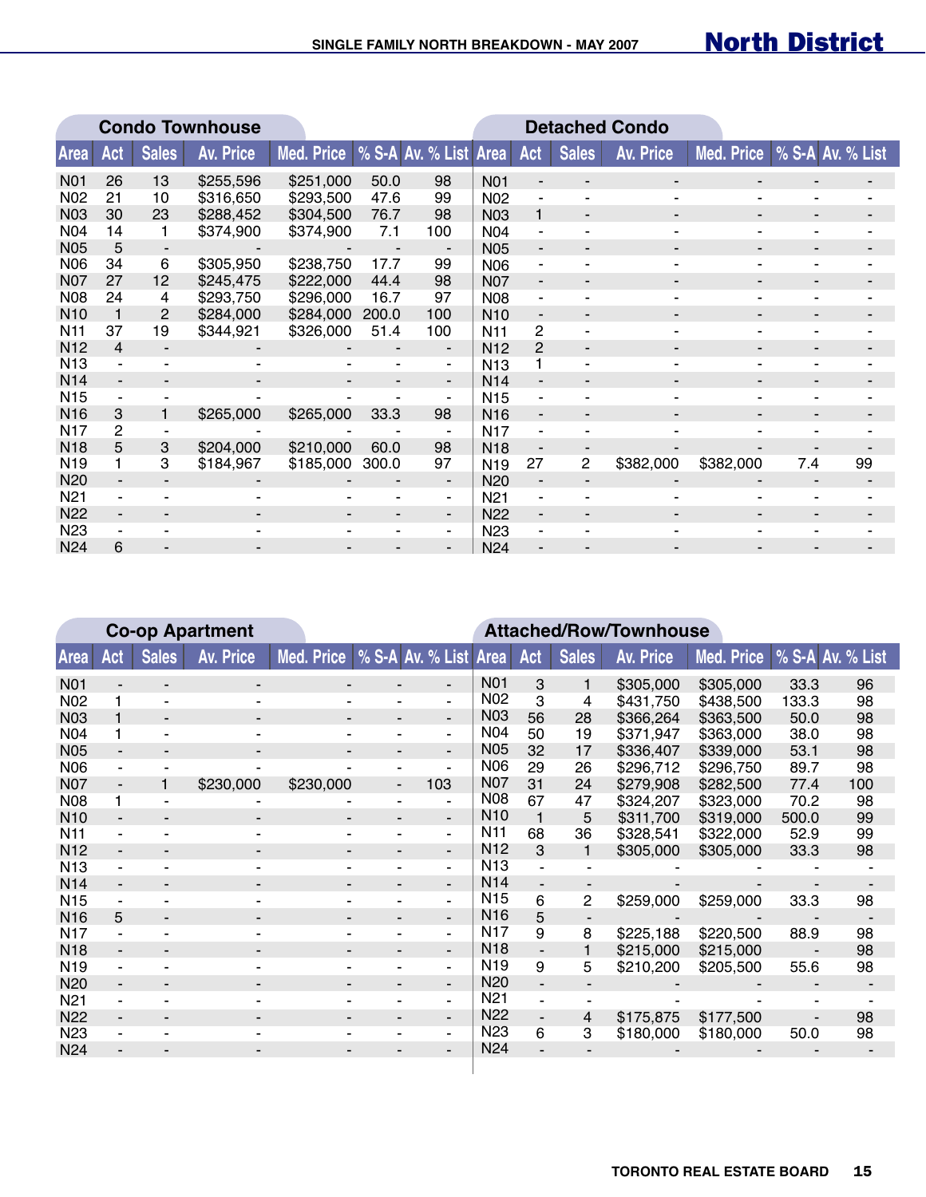|                 |                |                | <b>Condo Townhouse</b> |            | <b>Detached Condo</b> |                          |                  |                          |                          |                          |            |                  |    |  |
|-----------------|----------------|----------------|------------------------|------------|-----------------------|--------------------------|------------------|--------------------------|--------------------------|--------------------------|------------|------------------|----|--|
| <b>Area</b>     | Act            | <b>Sales</b>   | <b>Av. Price</b>       | Med. Price |                       | % S-A Av. % List Area    |                  | Act                      | <b>Sales</b>             | <b>Av. Price</b>         | Med. Price | % S-A Av. % List |    |  |
| <b>N01</b>      | 26             | 13             | \$255,596              | \$251,000  | 50.0                  | 98                       | N <sub>0</sub> 1 |                          |                          |                          |            |                  |    |  |
| <b>N02</b>      | 21             | 10             | \$316,650              | \$293,500  | 47.6                  | 99                       | <b>N02</b>       |                          | ۰                        |                          |            |                  |    |  |
| <b>N03</b>      | 30             | 23             | \$288,452              | \$304,500  | 76.7                  | 98                       | N <sub>03</sub>  |                          | -                        |                          |            |                  |    |  |
| <b>N04</b>      | 14             |                | \$374,900              | \$374,900  | 7.1                   | 100                      | <b>N04</b>       |                          |                          |                          |            |                  |    |  |
| <b>N05</b>      | 5              |                |                        |            |                       |                          | <b>N05</b>       | $\blacksquare$           |                          |                          |            |                  |    |  |
| <b>N06</b>      | 34             | 6              | \$305,950              | \$238,750  | 17.7                  | 99                       | <b>N06</b>       |                          |                          |                          |            |                  |    |  |
| <b>N07</b>      | 27             | 12             | \$245,475              | \$222,000  | 44.4                  | 98                       | <b>N07</b>       | $\overline{\phantom{a}}$ | $\overline{\phantom{a}}$ | $\overline{\phantom{a}}$ |            | $\blacksquare$   |    |  |
| <b>N08</b>      | 24             | 4              | \$293,750              | \$296,000  | 16.7                  | 97                       | <b>N08</b>       | $\blacksquare$           | ۰                        |                          |            |                  |    |  |
| N <sub>10</sub> | 1              | $\overline{2}$ | \$284,000              | \$284,000  | 200.0                 | 100                      | <b>N10</b>       |                          |                          |                          |            |                  |    |  |
| N <sub>11</sub> | 37             | 19             | \$344,921              | \$326,000  | 51.4                  | 100                      | N <sub>11</sub>  | 2                        |                          |                          |            |                  |    |  |
| N <sub>12</sub> | 4              | $\overline{a}$ |                        |            |                       | ٠                        | N <sub>12</sub>  | 2                        |                          |                          |            |                  |    |  |
| N <sub>13</sub> |                | ۰              |                        |            |                       | ٠.                       | N <sub>13</sub>  |                          | ۰                        |                          |            |                  |    |  |
| <b>N14</b>      |                |                |                        |            |                       | ٠                        | N <sub>14</sub>  | $\blacksquare$           | $\blacksquare$           |                          |            |                  |    |  |
| <b>N15</b>      |                |                |                        |            |                       |                          | N <sub>15</sub>  |                          |                          |                          |            |                  |    |  |
| N <sub>16</sub> | 3              |                | \$265,000              | \$265,000  | 33.3                  | 98                       | N <sub>16</sub>  | $\blacksquare$           |                          |                          |            |                  |    |  |
| <b>N17</b>      | 2              |                |                        |            |                       |                          | <b>N17</b>       |                          |                          |                          |            |                  |    |  |
| <b>N18</b>      | 5              | 3              | \$204,000              | \$210,000  | 60.0                  | 98                       | <b>N18</b>       | $\overline{a}$           | $\overline{\phantom{a}}$ |                          |            |                  |    |  |
| N <sub>19</sub> | 1              | 3              | \$184,967              | \$185,000  | 300.0                 | 97                       | N <sub>19</sub>  | 27                       | 2                        | \$382,000                | \$382,000  | 7.4              | 99 |  |
| N <sub>20</sub> |                |                |                        |            |                       | $\overline{\phantom{a}}$ | <b>N20</b>       |                          |                          |                          |            |                  |    |  |
| N <sub>21</sub> |                |                |                        |            |                       | ۰                        | N <sub>21</sub>  |                          |                          |                          |            |                  |    |  |
| N <sub>22</sub> | $\blacksquare$ |                |                        |            |                       | ٠                        | <b>N22</b>       |                          |                          |                          |            |                  |    |  |
| N <sub>23</sub> |                |                |                        |            |                       | ۰.                       | N <sub>23</sub>  |                          |                          |                          |            |                  |    |  |
| <b>N24</b>      | 6              |                |                        |            |                       |                          | N24              |                          |                          |                          |            |                  |    |  |

|                 | <b>Co-op Apartment</b>   |              |                          |            |                               |                          | <b>Attached/Row/Townhouse</b> |                |                |           |            |                  |     |
|-----------------|--------------------------|--------------|--------------------------|------------|-------------------------------|--------------------------|-------------------------------|----------------|----------------|-----------|------------|------------------|-----|
| Area            | Act                      | <b>Sales</b> | <b>Av. Price</b>         | Med. Price | <b>1% S-A Av. % List Area</b> |                          |                               | Act            | <b>Sales</b>   | Av. Price | Med. Price | % S-A Av. % List |     |
| N01             |                          |              |                          |            |                               | ٠                        | N <sub>0</sub> 1              | 3              |                | \$305,000 | \$305,000  | 33.3             | 96  |
| N <sub>02</sub> | 1                        |              |                          |            |                               | ۰                        | N <sub>02</sub>               | 3              | 4              | \$431,750 | \$438,500  | 133.3            | 98  |
| <b>N03</b>      |                          | -            |                          |            |                               | ٠                        | <b>N03</b>                    | 56             | 28             | \$366,264 | \$363,500  | 50.0             | 98  |
| N <sub>04</sub> | 1                        |              |                          |            |                               | ٠                        | N04                           | 50             | 19             | \$371,947 | \$363,000  | 38.0             | 98  |
| N05             |                          |              |                          |            |                               | $\blacksquare$           | N <sub>05</sub>               | 32             | 17             | \$336,407 | \$339,000  | 53.1             | 98  |
| <b>N06</b>      |                          |              |                          |            |                               | $\blacksquare$           | N06                           | 29             | 26             | \$296,712 | \$296,750  | 89.7             | 98  |
| <b>N07</b>      | -                        |              | \$230,000                | \$230,000  | $\overline{\phantom{a}}$      | 103                      | N07                           | 31             | 24             | \$279,908 | \$282,500  | 77.4             | 100 |
| <b>N08</b>      | 1                        |              |                          |            |                               | ۰                        | <b>N08</b>                    | 67             | 47             | \$324,207 | \$323,000  | 70.2             | 98  |
| N <sub>10</sub> |                          |              |                          |            |                               | $\blacksquare$           | N <sub>10</sub>               | $\mathbf{1}$   | 5              | \$311,700 | \$319,000  | 500.0            | 99  |
| N <sub>11</sub> |                          |              |                          |            |                               | ٠                        | N <sub>11</sub>               | 68             | 36             | \$328,541 | \$322,000  | 52.9             | 99  |
| N <sub>12</sub> |                          | ۰            | $\overline{\phantom{a}}$ |            | $\overline{\phantom{a}}$      | $\overline{\phantom{a}}$ | N <sub>12</sub>               | 3              | 1              | \$305,000 | \$305,000  | 33.3             | 98  |
| N <sub>13</sub> |                          |              |                          |            |                               | ٠                        | N <sub>13</sub>               |                |                |           |            |                  |     |
| N <sub>14</sub> | $\overline{\phantom{a}}$ |              |                          |            |                               | $\overline{\phantom{a}}$ | N <sub>14</sub>               | $\overline{a}$ |                |           |            |                  |     |
| N <sub>15</sub> |                          |              | ۰                        | ۰          | ٠                             | ۰                        | <b>N15</b>                    | 6              | 2              | \$259,000 | \$259,000  | 33.3             | 98  |
| N <sub>16</sub> | 5                        |              |                          |            |                               | ٠                        | N <sub>16</sub>               | 5              |                |           |            |                  |     |
| N <sub>17</sub> |                          |              |                          |            |                               | $\blacksquare$           | N <sub>17</sub>               | 9              | 8              | \$225,188 | \$220,500  | 88.9             | 98  |
| <b>N18</b>      | $\overline{\phantom{0}}$ | -            | ۰                        | -          | $\overline{\phantom{a}}$      | ٠                        | <b>N18</b>                    | $\blacksquare$ |                | \$215,000 | \$215,000  |                  | 98  |
| N <sub>19</sub> |                          |              |                          |            |                               | ٠                        | N <sub>19</sub>               | 9              | 5              | \$210,200 | \$205,500  | 55.6             | 98  |
| N <sub>20</sub> |                          |              |                          |            |                               | $\blacksquare$           | N <sub>20</sub>               | $\overline{a}$ | $\overline{a}$ |           |            |                  |     |
| N <sub>21</sub> |                          |              |                          |            |                               | $\blacksquare$           | N <sub>21</sub>               | $\blacksquare$ | ٠              |           |            |                  |     |
| N <sub>22</sub> | $\overline{\phantom{a}}$ | -            |                          |            | $\overline{\phantom{a}}$      | ٠                        | N <sub>22</sub>               | $\frac{1}{2}$  | 4              | \$175,875 | \$177,500  |                  | 98  |
| N <sub>23</sub> |                          |              |                          |            |                               | ۰                        | N <sub>23</sub>               | 6              | 3              | \$180,000 | \$180,000  | 50.0             | 98  |
| <b>N24</b>      |                          |              |                          |            |                               | $\blacksquare$           | N <sub>24</sub>               |                |                |           |            |                  |     |
|                 |                          |              |                          |            |                               |                          |                               |                |                |           |            |                  |     |